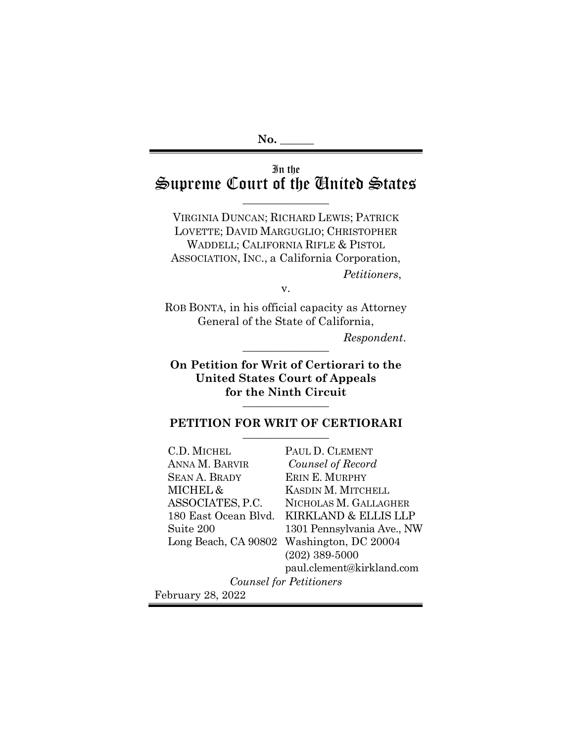# In the Supreme Court of the United States

 $\overline{\phantom{a}}$  , where  $\overline{\phantom{a}}$ 

VIRGINIA DUNCAN; RICHARD LEWIS; PATRICK LOVETTE; DAVID MARGUGLIO; CHRISTOPHER WADDELL; CALIFORNIA RIFLE & PISTOL ASSOCIATION, INC., a California Corporation, *Petitioners*,

v.

ROB BONTA, in his official capacity as Attorney General of the State of California,

 $Respondent.$ 

**On Petition for Writ of Certiorari to the United States Court of Appeals**  for the Ninth Circuit

### PETITION FOR WRIT OF CERTIORARI

C.D. MICHEL ANNA M. BARVIR SEAN A. BRADY MICHEL & ASSOCIATES, P.C. Suite 200 Long Beach, CA 90802 Washington, DC 20004

180 East Ocean Blvd. KIRKLAND & ELLIS LLP PAUL D. CLEMENT *Counsel of Record* ERIN E. MURPHY KASDIN M. MITCHELL NICHOLAS M. GALLAGHER 1301 Pennsylvania Ave., NW (202) 389-5000 paul.clement@kirkland.com

*Counsel for Petitioners*

February 28, 2022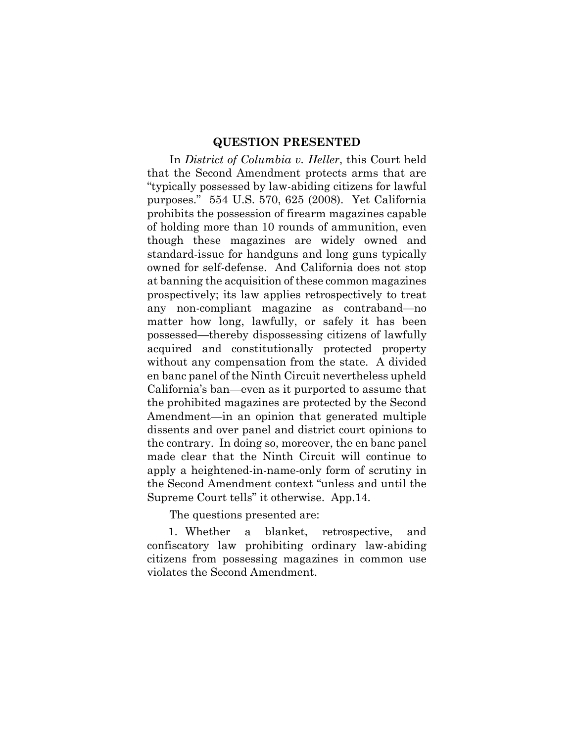### **QUESTION PRESENTED**

In *District of Columbia v. Heller*, this Court held that the Second Amendment protects arms that are "typically possessed by law-abiding citizens for lawful purposes." 554 U.S. 570, 625 (2008). Yet California prohibits the possession of firearm magazines capable of holding more than 10 rounds of ammunition, even though these magazines are widely owned and standard-issue for handguns and long guns typically owned for self-defense. And California does not stop at banning the acquisition of these common magazines prospectively; its law applies retrospectively to treat any non-compliant magazine as contraband—no matter how long, lawfully, or safely it has been possessed—thereby dispossessing citizens of lawfully acquired and constitutionally protected property without any compensation from the state. A divided en banc panel of the Ninth Circuit nevertheless upheld California's ban—even as it purported to assume that the prohibited magazines are protected by the Second Amendment—in an opinion that generated multiple dissents and over panel and district court opinions to the contrary. In doing so, moreover, the en banc panel made clear that the Ninth Circuit will continue to apply a heightened-in-name-only form of scrutiny in the Second Amendment context "unless and until the Supreme Court tells" it otherwise. App.14.

The questions presented are:

1. Whether a blanket, retrospective, and confiscatory law prohibiting ordinary law-abiding citizens from possessing magazines in common use violates the Second Amendment.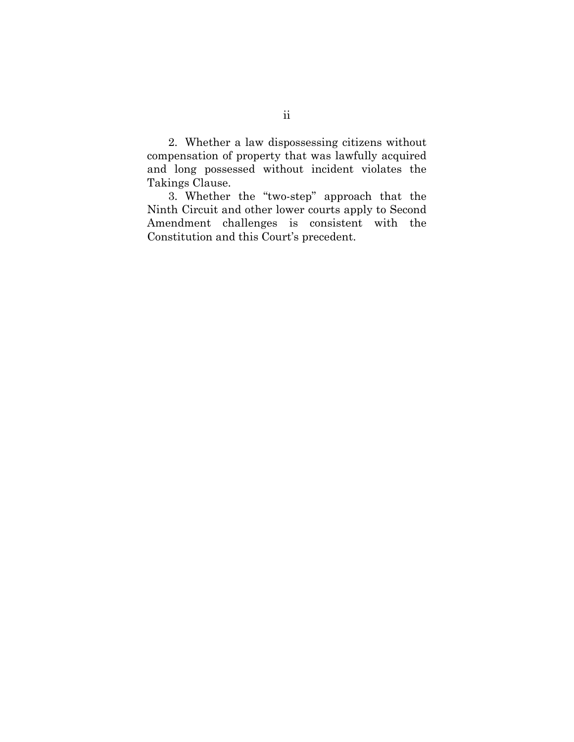2. Whether a law dispossessing citizens without compensation of property that was lawfully acquired and long possessed without incident violates the Takings Clause.

3. Whether the "two-step" approach that the Ninth Circuit and other lower courts apply to Second Amendment challenges is consistent with the Constitution and this Court's precedent.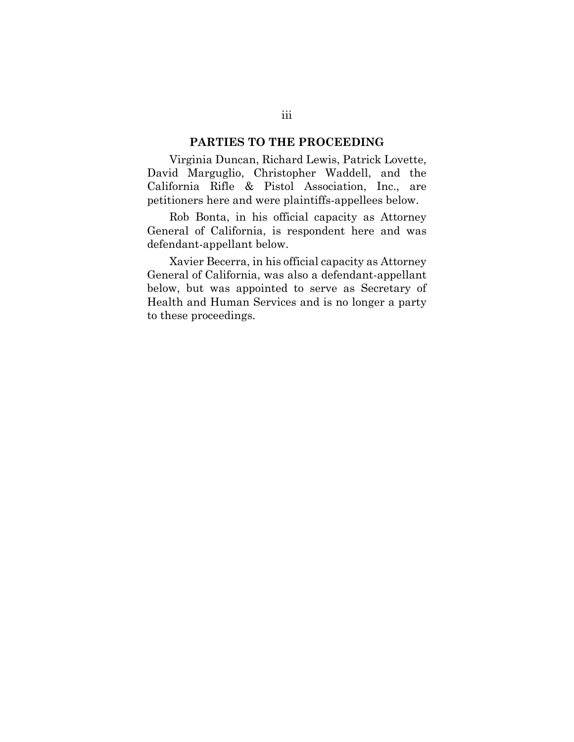#### **PARTIES TO THE PROCEEDING**

Virginia Duncan, Richard Lewis, Patrick Lovette, David Marguglio, Christopher Waddell, and the California Rifle & Pistol Association, Inc., are petitioners here and were plaintiffs-appellees below.

Rob Bonta, in his official capacity as Attorney General of California, is respondent here and was defendant-appellant below.

Xavier Becerra, in his official capacity as Attorney General of California, was also a defendant-appellant below, but was appointed to serve as Secretary of Health and Human Services and is no longer a party to these proceedings.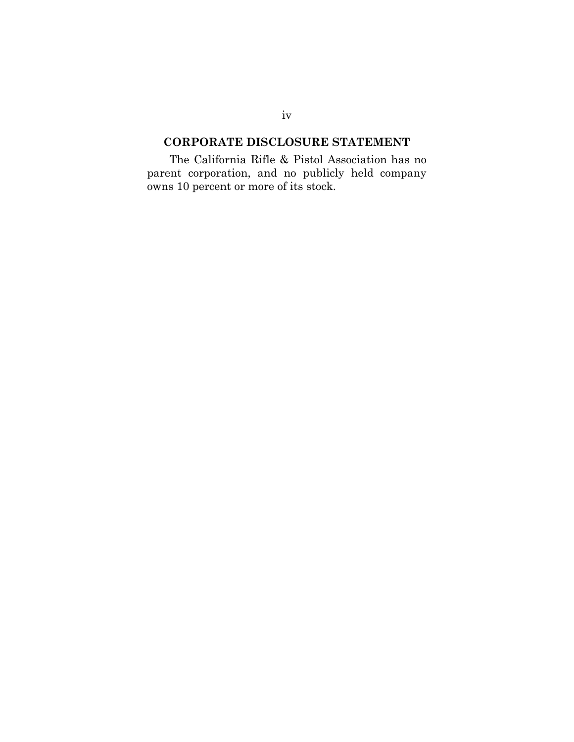### **CORPORATE DISCLOSURE STATEMENT**

The California Rifle & Pistol Association has no parent corporation, and no publicly held company owns 10 percent or more of its stock.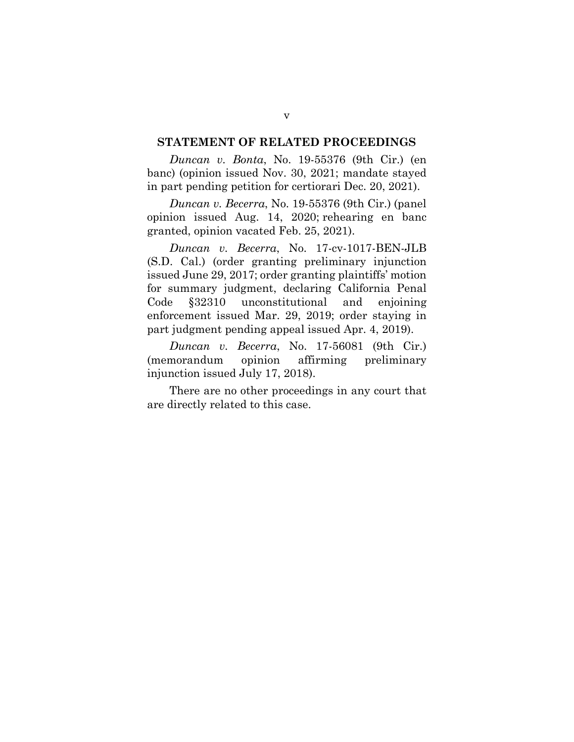#### **STATEMENT OF RELATED PROCEEDINGS**

*Duncan v. Bonta*, No. 19-55376 (9th Cir.) (en banc) (opinion issued Nov. 30, 2021; mandate stayed in part pending petition for certiorari Dec. 20, 2021).

*Duncan v. Becerra*, No. 19-55376 (9th Cir.) (panel opinion issued Aug. 14, 2020; rehearing en banc granted, opinion vacated Feb. 25, 2021).

*Duncan v. Becerra*, No. 17-cv-1017-BEN-JLB (S.D. Cal.) (order granting preliminary injunction issued June 29, 2017; order granting plaintiffs' motion for summary judgment, declaring California Penal Code §32310 unconstitutional and enjoining enforcement issued Mar. 29, 2019; order staying in part judgment pending appeal issued Apr. 4, 2019).

*Duncan v. Becerra*, No. 17-56081 (9th Cir.) (memorandum opinion affirming preliminary injunction issued July 17, 2018).

There are no other proceedings in any court that are directly related to this case.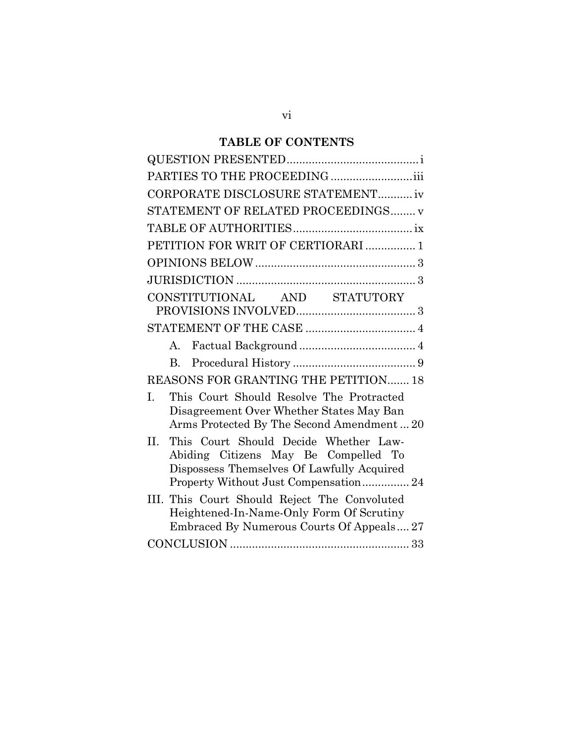# **TABLE OF CONTENTS**

| PARTIES TO THE PROCEEDING iii                                                                                                                                               |
|-----------------------------------------------------------------------------------------------------------------------------------------------------------------------------|
| CORPORATE DISCLOSURE STATEMENT iv                                                                                                                                           |
| STATEMENT OF RELATED PROCEEDINGS v                                                                                                                                          |
|                                                                                                                                                                             |
| PETITION FOR WRIT OF CERTIORARI  1                                                                                                                                          |
|                                                                                                                                                                             |
|                                                                                                                                                                             |
| CONSTITUTIONAL AND STATUTORY                                                                                                                                                |
|                                                                                                                                                                             |
| $A_{\cdot}$                                                                                                                                                                 |
| $B_{\cdot}$                                                                                                                                                                 |
| REASONS FOR GRANTING THE PETITION 18                                                                                                                                        |
| This Court Should Resolve The Protracted<br>I.<br>Disagreement Over Whether States May Ban<br>Arms Protected By The Second Amendment 20                                     |
| This Court Should Decide Whether Law-<br>II.<br>Abiding Citizens May Be Compelled To<br>Dispossess Themselves Of Lawfully Acquired<br>Property Without Just Compensation 24 |
| III. This Court Should Reject The Convoluted<br>Heightened-In-Name-Only Form Of Scrutiny<br>Embraced By Numerous Courts Of Appeals 27                                       |
|                                                                                                                                                                             |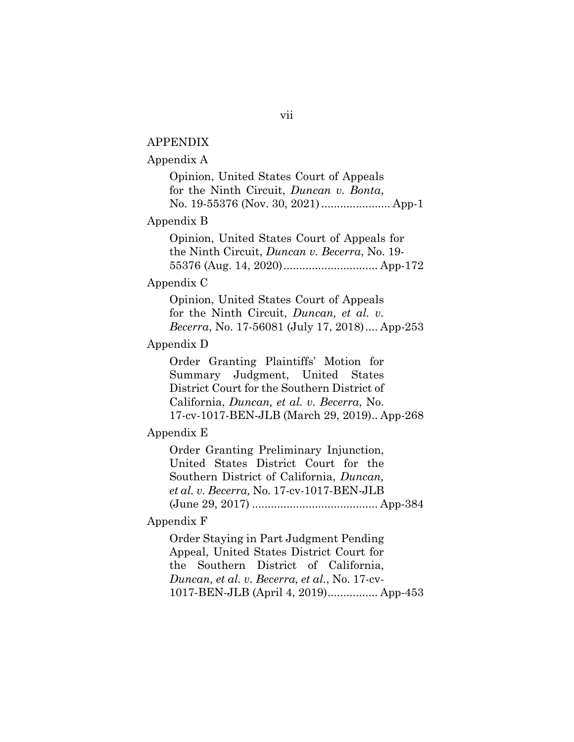### APPENDIX

### Appendix A

Opinion, United States Court of Appeals for the Ninth Circuit, *Duncan v. Bonta*, No. 19-55376 (Nov. 30, 2021)...................... App-1

#### Appendix B

Opinion, United States Court of Appeals for the Ninth Circuit, *Duncan v. Becerra*, No. 19- 55376 (Aug. 14, 2020).............................. App-172

### Appendix C

Opinion, United States Court of Appeals for the Ninth Circuit, *Duncan, et al. v. Becerra*, No. 17-56081 (July 17, 2018).... App-253

### Appendix D

Order Granting Plaintiffs' Motion for Summary Judgment, United States District Court for the Southern District of California, *Duncan, et al. v. Becerra*, No. 17-cv-1017-BEN-JLB (March 29, 2019).. App-268

### Appendix E

Order Granting Preliminary Injunction, United States District Court for the Southern District of California, *Duncan, et al. v. Becerra,* No. 17-cv-1017-BEN-JLB (June 29, 2017) ........................................ App-384

### Appendix F

Order Staying in Part Judgment Pending Appeal, United States District Court for the Southern District of California, *Duncan, et al. v. Becerra, et al.*, No. 17-cv-1017-BEN-JLB (April 4, 2019)................ App-453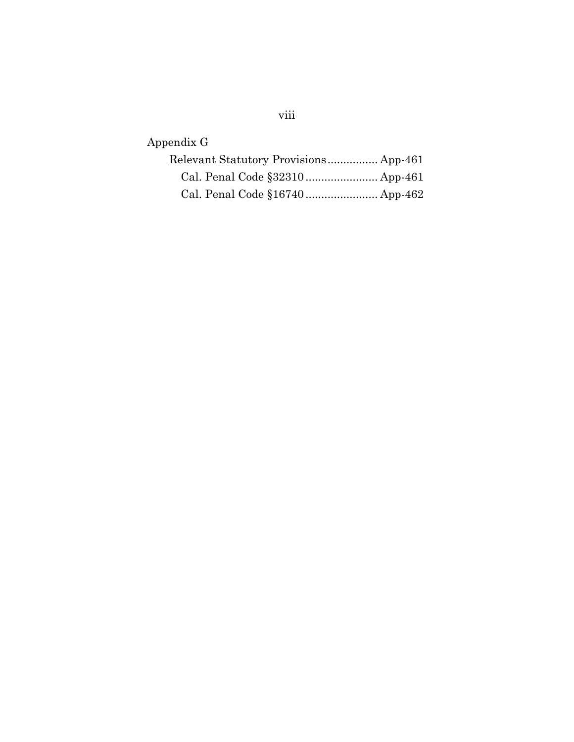# viii

Appendix G

| Relevant Statutory Provisions App-461 |
|---------------------------------------|
|                                       |
| Cal. Penal Code §16740 App-462        |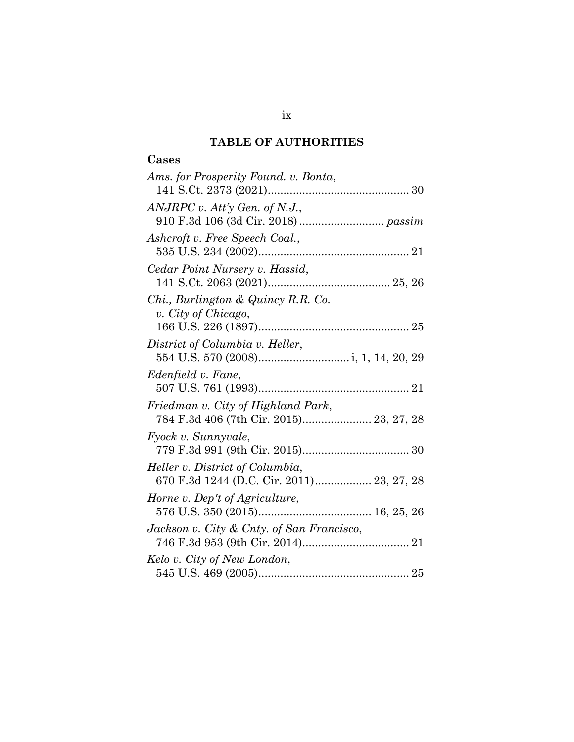# **TABLE OF AUTHORITIES**

# **Cases**

| Ams. for Prosperity Found. v. Bonta,                                          |
|-------------------------------------------------------------------------------|
| $ANJRPC$ v. Att'y Gen. of N.J.,                                               |
| Ashcroft v. Free Speech Coal.,                                                |
| Cedar Point Nursery v. Hassid,                                                |
| Chi., Burlington & Quincy R.R. Co.<br>v. City of Chicago,                     |
| District of Columbia v. Heller,                                               |
| Edenfield v. Fane,                                                            |
| Friedman v. City of Highland Park,<br>784 F.3d 406 (7th Cir. 2015) 23, 27, 28 |
| Fyock v. Sunnyvale,                                                           |
| Heller v. District of Columbia,<br>670 F.3d 1244 (D.C. Cir. 2011) 23, 27, 28  |
| Horne v. Dep't of Agriculture,                                                |
| Jackson v. City & Cnty. of San Francisco,                                     |
| Kelo v. City of New London,                                                   |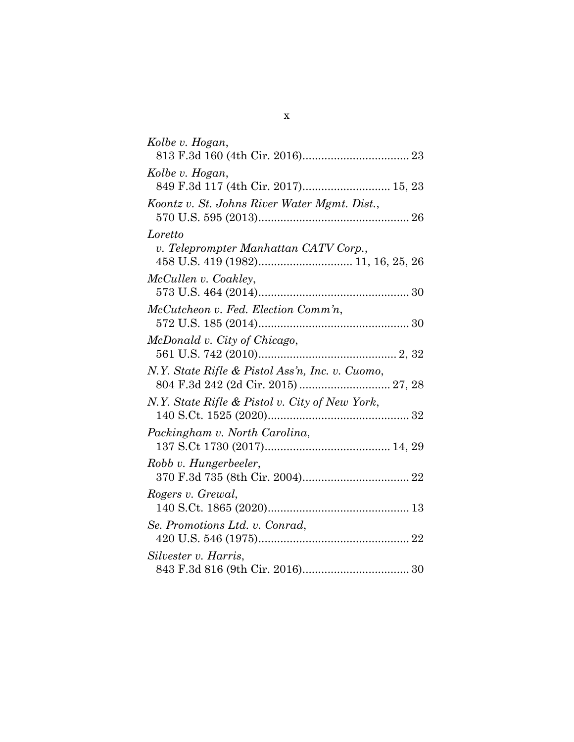| Kolbe v. Hogan,                                 |
|-------------------------------------------------|
|                                                 |
| Kolbe v. Hogan,                                 |
| 849 F.3d 117 (4th Cir. 2017) 15, 23             |
| Koontz v. St. Johns River Water Mgmt. Dist.,    |
|                                                 |
| Loretto                                         |
| v. Teleprompter Manhattan CATV Corp.,           |
|                                                 |
| McCullen v. Coakley,                            |
|                                                 |
| McCutcheon v. Fed. Election Comm'n,             |
|                                                 |
| McDonald v. City of Chicago,                    |
|                                                 |
| N.Y. State Rifle & Pistol Ass'n, Inc. v. Cuomo, |
|                                                 |
| N.Y. State Rifle & Pistol v. City of New York,  |
|                                                 |
| Packingham v. North Carolina,                   |
|                                                 |
| Robb v. Hungerbeeler,                           |
| Rogers v. Grewal,                               |
|                                                 |
| Se. Promotions Ltd. v. Conrad,                  |
|                                                 |
| Silvester v. Harris,                            |
|                                                 |
|                                                 |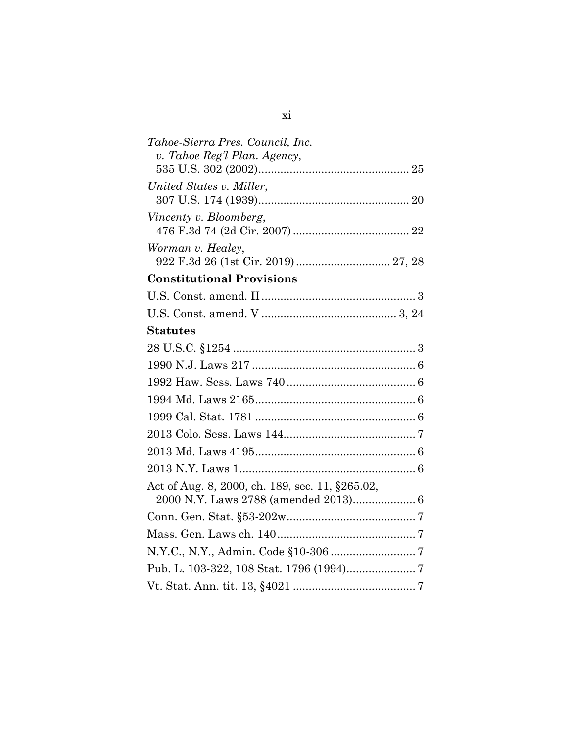| Tahoe-Sierra Pres. Council, Inc.                |
|-------------------------------------------------|
| v. Tahoe Reg'l Plan. Agency,                    |
|                                                 |
| United States v. Miller,                        |
|                                                 |
| Vincenty v. Bloomberg,                          |
|                                                 |
| Worman v. Healey,                               |
| 922 F.3d 26 (1st Cir. 2019) 27, 28              |
| <b>Constitutional Provisions</b>                |
|                                                 |
|                                                 |
| <b>Statutes</b>                                 |
|                                                 |
|                                                 |
|                                                 |
|                                                 |
|                                                 |
|                                                 |
|                                                 |
|                                                 |
| Act of Aug. 8, 2000, ch. 189, sec. 11, §265.02, |
| 2000 N.Y. Laws 2788 (amended 2013) 6            |
|                                                 |
|                                                 |
|                                                 |
|                                                 |
|                                                 |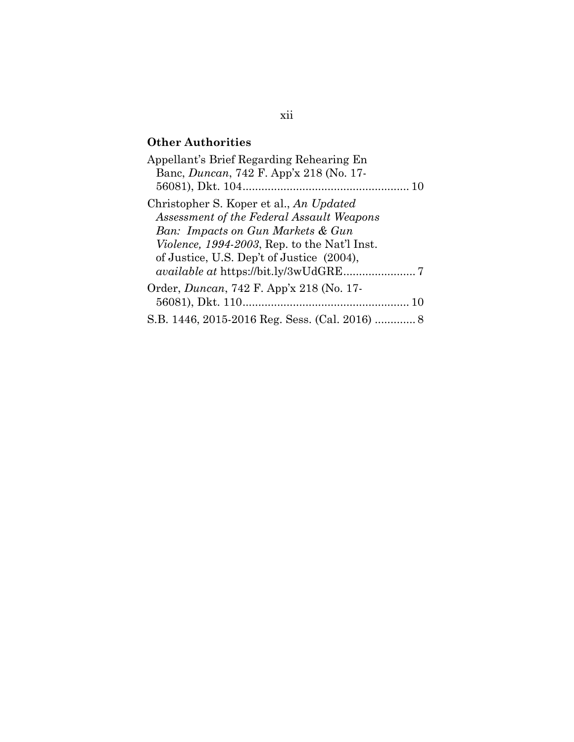# **Other Authorities**

| Appellant's Brief Regarding Rehearing En             |
|------------------------------------------------------|
| Banc, <i>Duncan</i> , 742 F. App'x 218 (No. 17-      |
|                                                      |
| Christopher S. Koper et al., An Updated              |
| Assessment of the Federal Assault Weapons            |
| Ban: Impacts on Gun Markets & Gun                    |
| <i>Violence, 1994-2003</i> , Rep. to the Nat'l Inst. |
| of Justice, U.S. Dep't of Justice (2004),            |
|                                                      |
| Order, <i>Duncan</i> , 742 F. App'x 218 (No. 17-     |
|                                                      |
| S.B. 1446, 2015-2016 Reg. Sess. (Cal. 2016)  8       |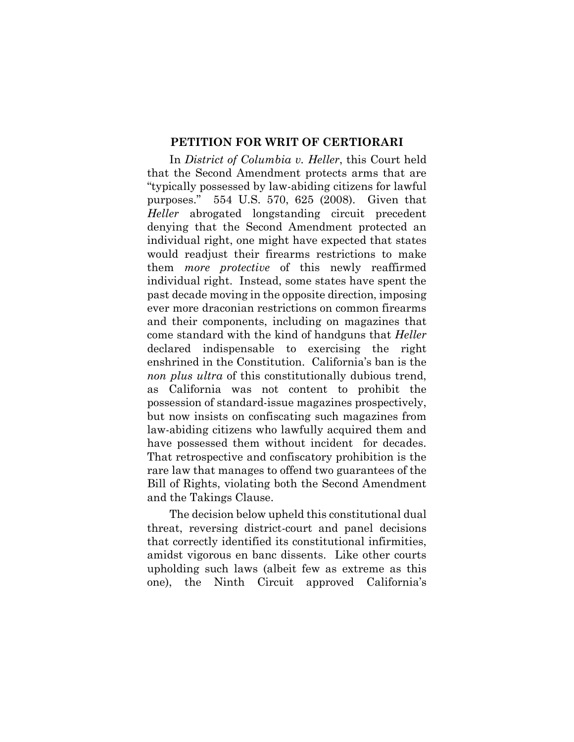### **PETITION FOR WRIT OF CERTIORARI**

In *District of Columbia v. Heller*, this Court held that the Second Amendment protects arms that are "typically possessed by law-abiding citizens for lawful purposes." 554 U.S. 570, 625 (2008). Given that *Heller* abrogated longstanding circuit precedent denying that the Second Amendment protected an individual right, one might have expected that states would readjust their firearms restrictions to make them *more protective* of this newly reaffirmed individual right. Instead, some states have spent the past decade moving in the opposite direction, imposing ever more draconian restrictions on common firearms and their components, including on magazines that come standard with the kind of handguns that *Heller*  declared indispensable to exercising the right enshrined in the Constitution. California's ban is the *non plus ultra* of this constitutionally dubious trend, as California was not content to prohibit the possession of standard-issue magazines prospectively, but now insists on confiscating such magazines from law-abiding citizens who lawfully acquired them and have possessed them without incident for decades. That retrospective and confiscatory prohibition is the rare law that manages to offend two guarantees of the Bill of Rights, violating both the Second Amendment and the Takings Clause.

The decision below upheld this constitutional dual threat, reversing district-court and panel decisions that correctly identified its constitutional infirmities, amidst vigorous en banc dissents. Like other courts upholding such laws (albeit few as extreme as this one), the Ninth Circuit approved California's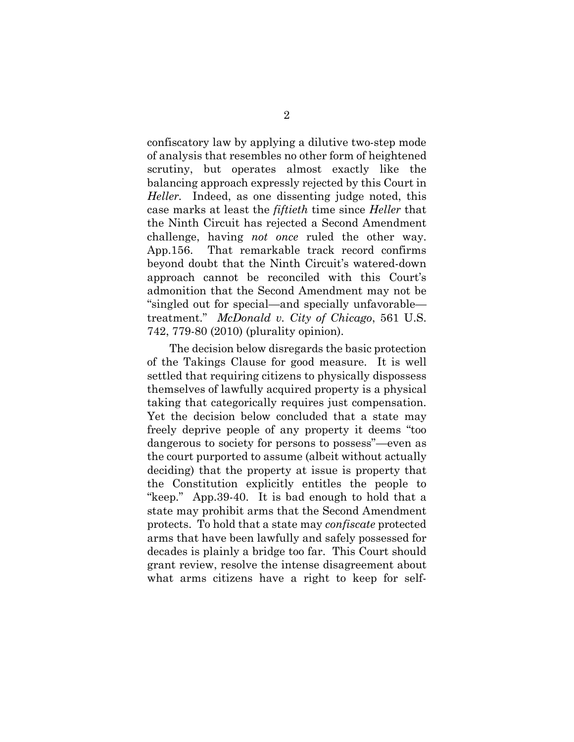confiscatory law by applying a dilutive two-step mode of analysis that resembles no other form of heightened scrutiny, but operates almost exactly like the balancing approach expressly rejected by this Court in *Heller.* Indeed, as one dissenting judge noted, this case marks at least the *fiftieth* time since *Heller* that the Ninth Circuit has rejected a Second Amendment challenge, having *not once* ruled the other way. App.156. That remarkable track record confirms beyond doubt that the Ninth Circuit's watered-down approach cannot be reconciled with this Court's admonition that the Second Amendment may not be "singled out for special—and specially unfavorable treatment." *McDonald v. City of Chicago*, 561 U.S. 742, 779-80 (2010) (plurality opinion).

The decision below disregards the basic protection of the Takings Clause for good measure. It is well settled that requiring citizens to physically dispossess themselves of lawfully acquired property is a physical taking that categorically requires just compensation. Yet the decision below concluded that a state may freely deprive people of any property it deems "too dangerous to society for persons to possess"—even as the court purported to assume (albeit without actually deciding) that the property at issue is property that the Constitution explicitly entitles the people to "keep." App.39-40. It is bad enough to hold that a state may prohibit arms that the Second Amendment protects. To hold that a state may *confiscate* protected arms that have been lawfully and safely possessed for decades is plainly a bridge too far. This Court should grant review, resolve the intense disagreement about what arms citizens have a right to keep for self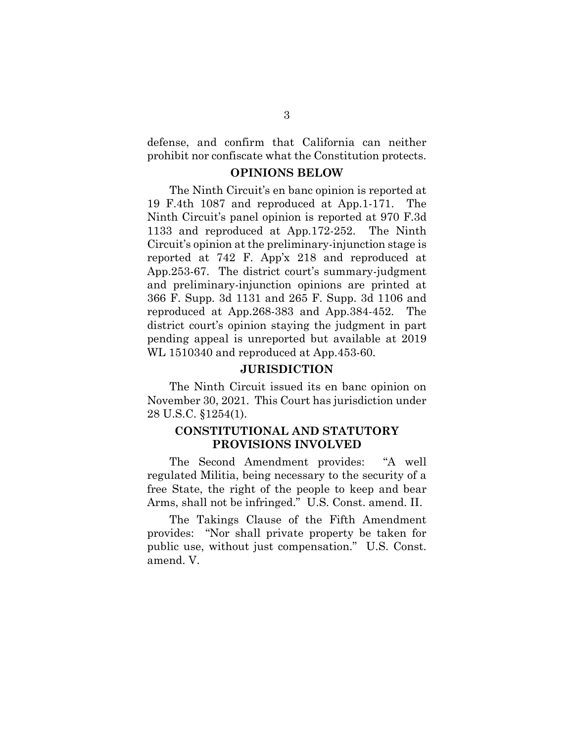defense, and confirm that California can neither prohibit nor confiscate what the Constitution protects.

### **OPINIONS BELOW**

The Ninth Circuit's en banc opinion is reported at 19 F.4th 1087 and reproduced at App.1-171. The Ninth Circuit's panel opinion is reported at 970 F.3d 1133 and reproduced at App.172-252. The Ninth Circuit's opinion at the preliminary-injunction stage is reported at 742 F. App'x 218 and reproduced at App.253-67. The district court's summary-judgment and preliminary-injunction opinions are printed at 366 F. Supp. 3d 1131 and 265 F. Supp. 3d 1106 and reproduced at App.268-383 and App.384-452. The district court's opinion staying the judgment in part pending appeal is unreported but available at 2019 WL 1510340 and reproduced at App.453-60.

### **JURISDICTION**

The Ninth Circuit issued its en banc opinion on November 30, 2021. This Court has jurisdiction under 28 U.S.C. §1254(1).

### **CONSTITUTIONAL AND STATUTORY PROVISIONS INVOLVED**

The Second Amendment provides: "A well regulated Militia, being necessary to the security of a free State, the right of the people to keep and bear Arms, shall not be infringed." U.S. Const. amend. II.

The Takings Clause of the Fifth Amendment provides: "Nor shall private property be taken for public use, without just compensation." U.S. Const. amend. V.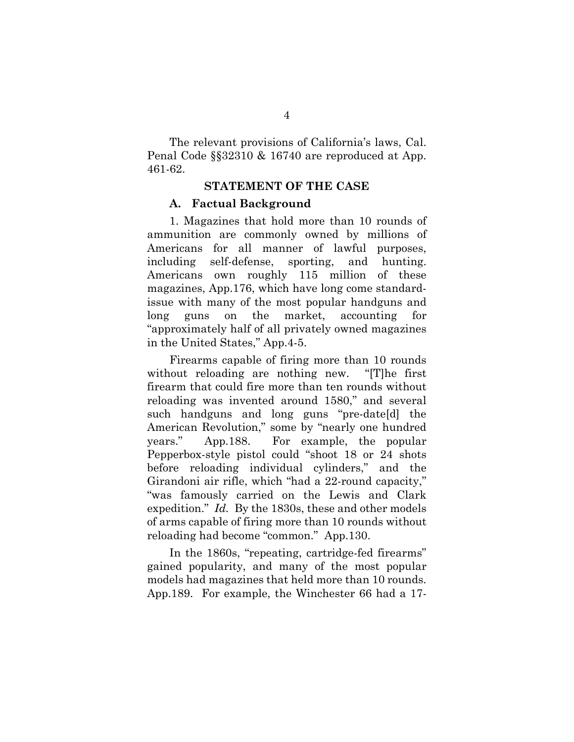The relevant provisions of California's laws, Cal. Penal Code §§32310 & 16740 are reproduced at App. 461-62.

### **STATEMENT OF THE CASE**

#### **A. Factual Background**

1. Magazines that hold more than 10 rounds of ammunition are commonly owned by millions of Americans for all manner of lawful purposes, including self-defense, sporting, and hunting. Americans own roughly 115 million of these magazines, App.176, which have long come standardissue with many of the most popular handguns and long guns on the market, accounting for "approximately half of all privately owned magazines in the United States," App.4-5.

Firearms capable of firing more than 10 rounds without reloading are nothing new. "[T]he first firearm that could fire more than ten rounds without reloading was invented around 1580," and several such handguns and long guns "pre-date[d] the American Revolution," some by "nearly one hundred years." App.188. For example, the popular Pepperbox-style pistol could "shoot 18 or 24 shots before reloading individual cylinders," and the Girandoni air rifle, which "had a 22-round capacity," "was famously carried on the Lewis and Clark expedition." *Id.* By the 1830s, these and other models of arms capable of firing more than 10 rounds without reloading had become "common." App.130.

In the 1860s, "repeating, cartridge-fed firearms" gained popularity, and many of the most popular models had magazines that held more than 10 rounds. App.189. For example, the Winchester 66 had a 17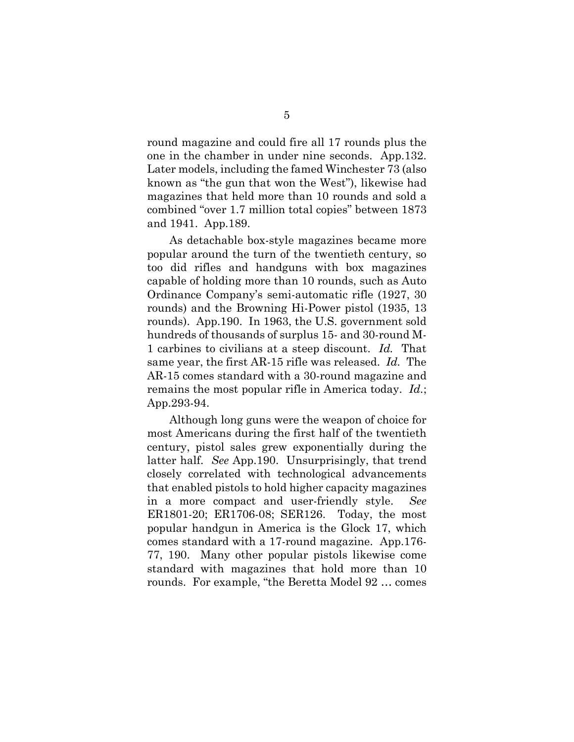round magazine and could fire all 17 rounds plus the one in the chamber in under nine seconds. App.132. Later models, including the famed Winchester 73 (also known as "the gun that won the West"), likewise had magazines that held more than 10 rounds and sold a combined "over 1.7 million total copies" between 1873 and 1941. App.189.

As detachable box-style magazines became more popular around the turn of the twentieth century, so too did rifles and handguns with box magazines capable of holding more than 10 rounds, such as Auto Ordinance Company's semi-automatic rifle (1927, 30 rounds) and the Browning Hi-Power pistol (1935, 13 rounds). App.190. In 1963, the U.S. government sold hundreds of thousands of surplus 15- and 30-round M-1 carbines to civilians at a steep discount. *Id.* That same year, the first AR-15 rifle was released. *Id.* The AR-15 comes standard with a 30-round magazine and remains the most popular rifle in America today. *Id.*; App.293-94.

Although long guns were the weapon of choice for most Americans during the first half of the twentieth century, pistol sales grew exponentially during the latter half. *See* App.190. Unsurprisingly, that trend closely correlated with technological advancements that enabled pistols to hold higher capacity magazines in a more compact and user-friendly style. *See*  ER1801-20; ER1706-08; SER126. Today, the most popular handgun in America is the Glock 17, which comes standard with a 17-round magazine. App.176- 77, 190. Many other popular pistols likewise come standard with magazines that hold more than 10 rounds. For example, "the Beretta Model 92 … comes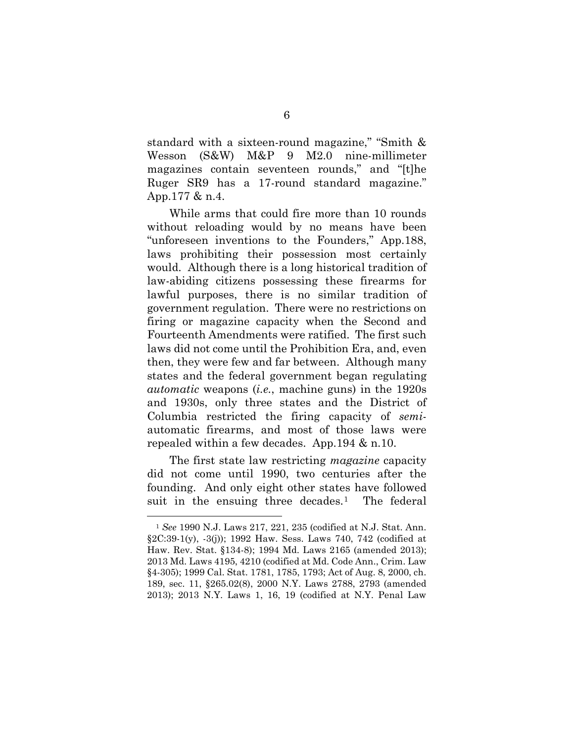standard with a sixteen-round magazine," "Smith & Wesson (S&W) M&P 9 M2.0 nine-millimeter magazines contain seventeen rounds," and "[t]he Ruger SR9 has a 17-round standard magazine." App.177 & n.4.

While arms that could fire more than 10 rounds without reloading would by no means have been "unforeseen inventions to the Founders," App.188, laws prohibiting their possession most certainly would. Although there is a long historical tradition of law-abiding citizens possessing these firearms for lawful purposes, there is no similar tradition of government regulation. There were no restrictions on firing or magazine capacity when the Second and Fourteenth Amendments were ratified. The first such laws did not come until the Prohibition Era, and, even then, they were few and far between. Although many states and the federal government began regulating *automatic* weapons (*i.e.*, machine guns) in the 1920s and 1930s, only three states and the District of Columbia restricted the firing capacity of *semi*automatic firearms, and most of those laws were repealed within a few decades. App.194 & n.10.

The first state law restricting *magazine* capacity did not come until 1990, two centuries after the founding. And only eight other states have followed suit in the ensuing three decades.<sup>1</sup> The federal

1

<span id="page-18-0"></span><sup>1</sup> *See* 1990 N.J. Laws 217, 221, 235 (codified at N.J. Stat. Ann. §2C:39-1(y), -3(j)); 1992 Haw. Sess. Laws 740, 742 (codified at Haw. Rev. Stat. §134-8); 1994 Md. Laws 2165 (amended 2013); 2013 Md. Laws 4195, 4210 (codified at Md. Code Ann., Crim. Law §4-305); 1999 Cal. Stat. 1781, 1785, 1793; Act of Aug. 8, 2000, ch. 189, sec. 11, §265.02(8), 2000 N.Y. Laws 2788, 2793 (amended 2013); 2013 N.Y. Laws 1, 16, 19 (codified at N.Y. Penal Law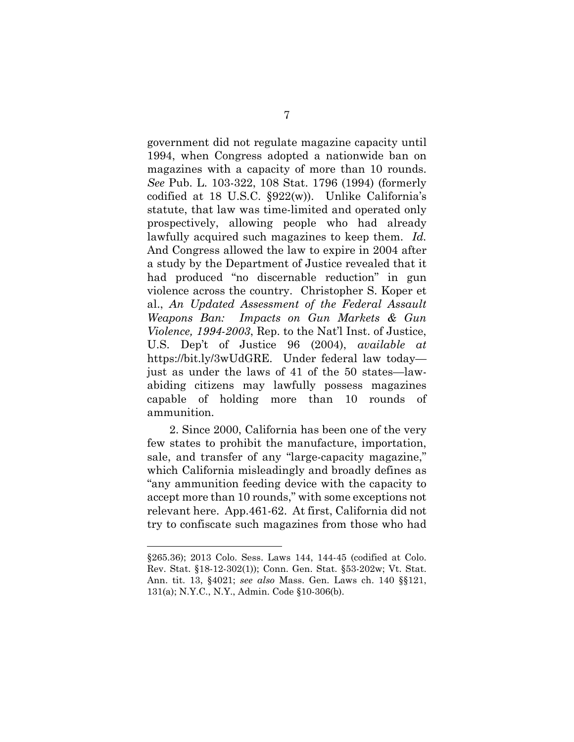government did not regulate magazine capacity until 1994, when Congress adopted a nationwide ban on magazines with a capacity of more than 10 rounds. *See* Pub. L. 103-322, 108 Stat. 1796 (1994) (formerly codified at 18 U.S.C. §922(w)). Unlike California's statute, that law was time-limited and operated only prospectively, allowing people who had already lawfully acquired such magazines to keep them. *Id.* And Congress allowed the law to expire in 2004 after a study by the Department of Justice revealed that it had produced "no discernable reduction" in gun violence across the country. Christopher S. Koper et al., *An Updated Assessment of the Federal Assault Weapons Ban: Impacts on Gun Markets & Gun Violence, 1994-2003*, Rep. to the Nat'l Inst. of Justice, U.S. Dep't of Justice 96 (2004), *available at*  [https://bit.ly/3wUdGRE.](https://bit.ly/3wUdGRE) Under federal law today just as under the laws of 41 of the 50 states—lawabiding citizens may lawfully possess magazines capable of holding more than 10 rounds of ammunition.

2. Since 2000, California has been one of the very few states to prohibit the manufacture, importation, sale, and transfer of any "large-capacity magazine," which California misleadingly and broadly defines as "any ammunition feeding device with the capacity to accept more than 10 rounds," with some exceptions not relevant here. App.461-62. At first, California did not try to confiscate such magazines from those who had

<u>.</u>

<sup>§265.36); 2013</sup> Colo. Sess. Laws 144, 144-45 (codified at Colo. Rev. Stat. §18-12-302(1)); Conn. Gen. Stat. §53-202w; Vt. Stat. Ann. tit. 13, §4021; *see also* Mass. Gen. Laws ch. 140 §§121, 131(a); N.Y.C., N.Y., Admin. Code §10-306(b).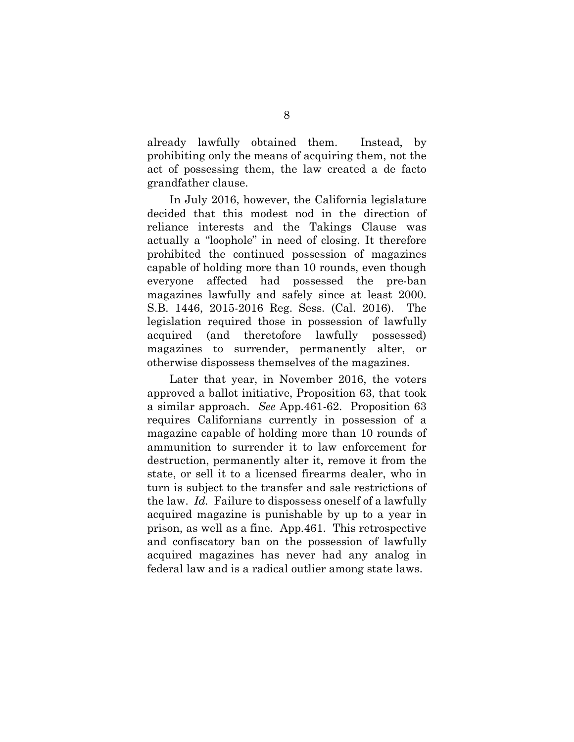already lawfully obtained them. Instead, by prohibiting only the means of acquiring them, not the act of possessing them, the law created a de facto grandfather clause.

In July 2016, however, the California legislature decided that this modest nod in the direction of reliance interests and the Takings Clause was actually a "loophole" in need of closing. It therefore prohibited the continued possession of magazines capable of holding more than 10 rounds, even though everyone affected had possessed the pre-ban magazines lawfully and safely since at least 2000. S.B. 1446, 2015-2016 Reg. Sess. (Cal. 2016). The legislation required those in possession of lawfully acquired (and theretofore lawfully possessed) magazines to surrender, permanently alter, or otherwise dispossess themselves of the magazines.

Later that year, in November 2016, the voters approved a ballot initiative, Proposition 63, that took a similar approach. *See* App.461-62. Proposition 63 requires Californians currently in possession of a magazine capable of holding more than 10 rounds of ammunition to surrender it to law enforcement for destruction, permanently alter it, remove it from the state, or sell it to a licensed firearms dealer, who in turn is subject to the transfer and sale restrictions of the law. *Id.* Failure to dispossess oneself of a lawfully acquired magazine is punishable by up to a year in prison, as well as a fine. App.461. This retrospective and confiscatory ban on the possession of lawfully acquired magazines has never had any analog in federal law and is a radical outlier among state laws.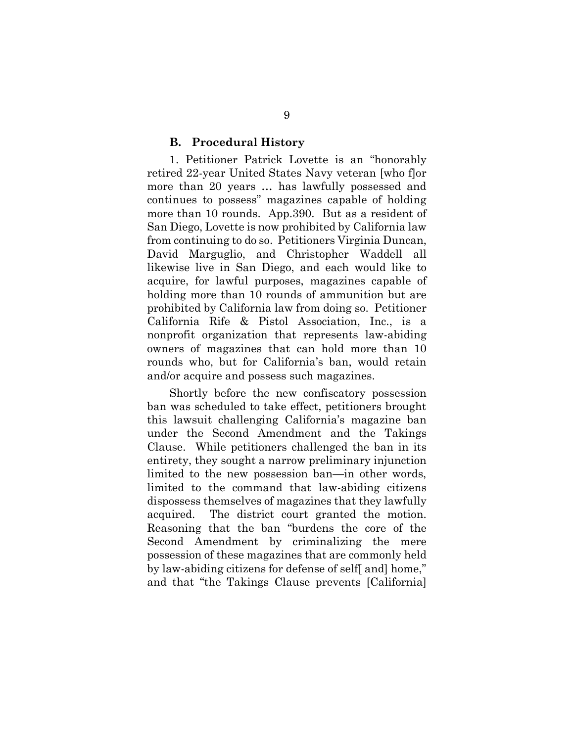#### **B. Procedural History**

1. Petitioner Patrick Lovette is an "honorably retired 22-year United States Navy veteran [who f]or more than 20 years … has lawfully possessed and continues to possess" magazines capable of holding more than 10 rounds. App.390. But as a resident of San Diego, Lovette is now prohibited by California law from continuing to do so. Petitioners Virginia Duncan, David Marguglio, and Christopher Waddell all likewise live in San Diego, and each would like to acquire, for lawful purposes, magazines capable of holding more than 10 rounds of ammunition but are prohibited by California law from doing so. Petitioner California Rife & Pistol Association, Inc., is a nonprofit organization that represents law-abiding owners of magazines that can hold more than 10 rounds who, but for California's ban, would retain and/or acquire and possess such magazines.

Shortly before the new confiscatory possession ban was scheduled to take effect, petitioners brought this lawsuit challenging California's magazine ban under the Second Amendment and the Takings Clause. While petitioners challenged the ban in its entirety, they sought a narrow preliminary injunction limited to the new possession ban—in other words, limited to the command that law-abiding citizens dispossess themselves of magazines that they lawfully acquired. The district court granted the motion. Reasoning that the ban "burdens the core of the Second Amendment by criminalizing the mere possession of these magazines that are commonly held by law-abiding citizens for defense of self[ and] home," and that "the Takings Clause prevents [California]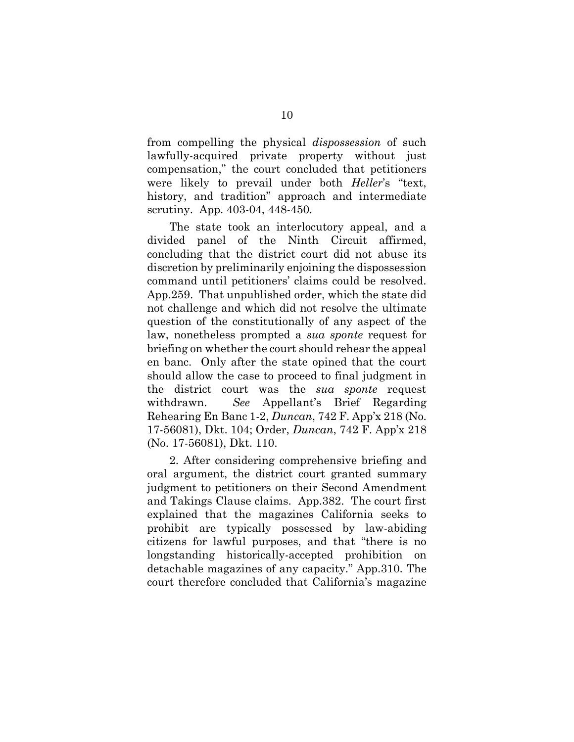from compelling the physical *dispossession* of such lawfully-acquired private property without just compensation," the court concluded that petitioners were likely to prevail under both *Heller*'s "text, history, and tradition" approach and intermediate scrutiny. App. 403-04, 448-450.

The state took an interlocutory appeal, and a divided panel of the Ninth Circuit affirmed, concluding that the district court did not abuse its discretion by preliminarily enjoining the dispossession command until petitioners' claims could be resolved. App.259. That unpublished order, which the state did not challenge and which did not resolve the ultimate question of the constitutionally of any aspect of the law, nonetheless prompted a *sua sponte* request for briefing on whether the court should rehear the appeal en banc. Only after the state opined that the court should allow the case to proceed to final judgment in the district court was the *sua sponte* request withdrawn. *See* Appellant's Brief Regarding Rehearing En Banc 1-2, *Duncan*, 742 F. App'x 218 (No. 17-56081), Dkt. 104; Order, *Duncan*, 742 F. App'x 218 (No. 17-56081), Dkt. 110.

2. After considering comprehensive briefing and oral argument, the district court granted summary judgment to petitioners on their Second Amendment and Takings Clause claims. App.382. The court first explained that the magazines California seeks to prohibit are typically possessed by law-abiding citizens for lawful purposes, and that "there is no longstanding historically-accepted prohibition on detachable magazines of any capacity." App.310. The court therefore concluded that California's magazine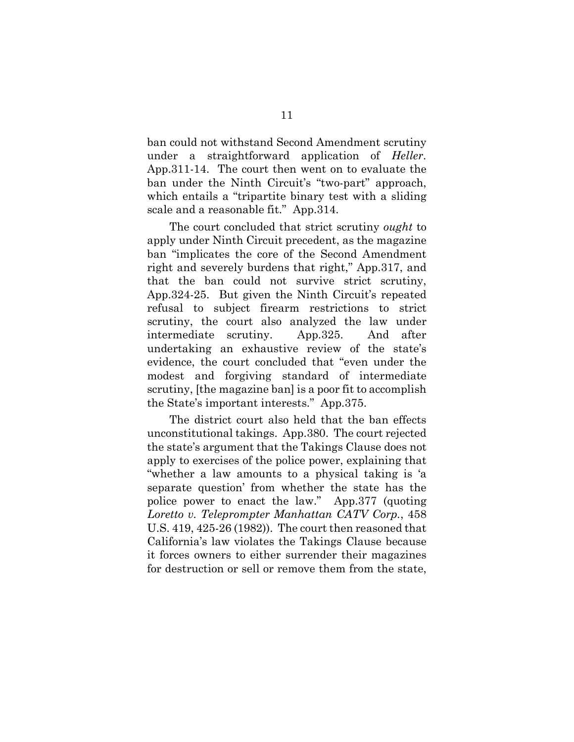ban could not withstand Second Amendment scrutiny under a straightforward application of *Heller*. App.311-14. The court then went on to evaluate the ban under the Ninth Circuit's "two-part" approach, which entails a "tripartite binary test with a sliding scale and a reasonable fit." App.314.

The court concluded that strict scrutiny *ought* to apply under Ninth Circuit precedent, as the magazine ban "implicates the core of the Second Amendment right and severely burdens that right," App.317, and that the ban could not survive strict scrutiny, App.324-25. But given the Ninth Circuit's repeated refusal to subject firearm restrictions to strict scrutiny, the court also analyzed the law under intermediate scrutiny. App.325. And after undertaking an exhaustive review of the state's evidence, the court concluded that "even under the modest and forgiving standard of intermediate scrutiny, [the magazine ban] is a poor fit to accomplish the State's important interests." App.375.

The district court also held that the ban effects unconstitutional takings. App.380. The court rejected the state's argument that the Takings Clause does not apply to exercises of the police power, explaining that "whether a law amounts to a physical taking is 'a separate question' from whether the state has the police power to enact the law." App.377 (quoting *Loretto v. Teleprompter Manhattan CATV Corp.*, 458 U.S. 419, 425-26 (1982)). The court then reasoned that California's law violates the Takings Clause because it forces owners to either surrender their magazines for destruction or sell or remove them from the state,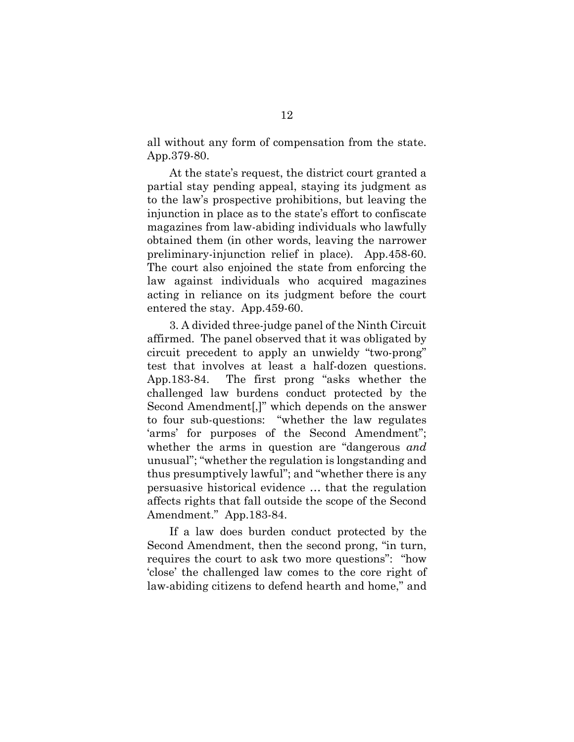all without any form of compensation from the state. App.379-80.

At the state's request, the district court granted a partial stay pending appeal, staying its judgment as to the law's prospective prohibitions, but leaving the injunction in place as to the state's effort to confiscate magazines from law-abiding individuals who lawfully obtained them (in other words, leaving the narrower preliminary-injunction relief in place). App.458-60. The court also enjoined the state from enforcing the law against individuals who acquired magazines acting in reliance on its judgment before the court entered the stay. App.459-60.

3. A divided three-judge panel of the Ninth Circuit affirmed. The panel observed that it was obligated by circuit precedent to apply an unwieldy "two-prong" test that involves at least a half-dozen questions. App.183-84. The first prong "asks whether the challenged law burdens conduct protected by the Second Amendment[,]" which depends on the answer to four sub-questions: "whether the law regulates 'arms' for purposes of the Second Amendment"; whether the arms in question are "dangerous *and*  unusual"; "whether the regulation is longstanding and thus presumptively lawful"; and "whether there is any persuasive historical evidence … that the regulation affects rights that fall outside the scope of the Second Amendment." App.183-84.

If a law does burden conduct protected by the Second Amendment, then the second prong, "in turn, requires the court to ask two more questions": "how 'close' the challenged law comes to the core right of law-abiding citizens to defend hearth and home," and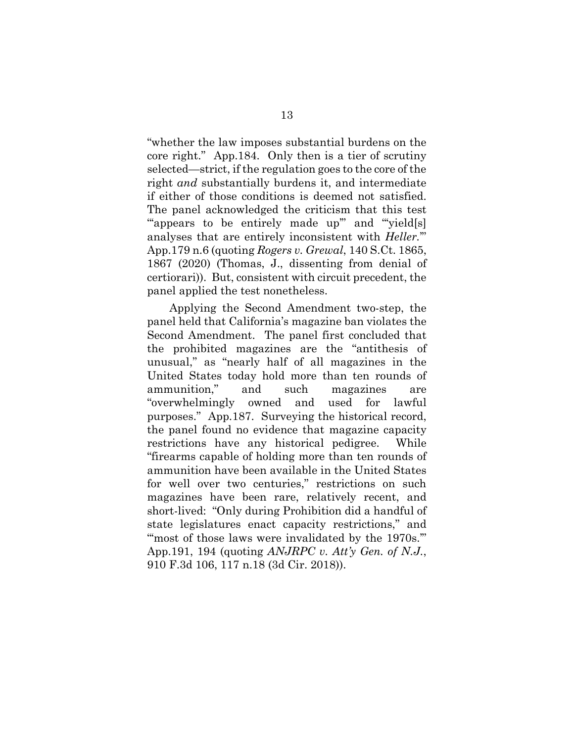"whether the law imposes substantial burdens on the core right." App.184. Only then is a tier of scrutiny selected—strict, if the regulation goes to the core of the right *and* substantially burdens it, and intermediate if either of those conditions is deemed not satisfied. The panel acknowledged the criticism that this test "appears to be entirely made up" and "yield[s] analyses that are entirely inconsistent with *Heller.*'" App.179 n.6 (quoting *Rogers v. Grewal*, 140 S.Ct. 1865, 1867 (2020) (Thomas, J., dissenting from denial of certiorari)). But, consistent with circuit precedent, the panel applied the test nonetheless.

Applying the Second Amendment two-step, the panel held that California's magazine ban violates the Second Amendment. The panel first concluded that the prohibited magazines are the "antithesis of unusual," as "nearly half of all magazines in the United States today hold more than ten rounds of ammunition," and such magazines are "overwhelmingly owned and used for lawful purposes." App.187. Surveying the historical record, the panel found no evidence that magazine capacity restrictions have any historical pedigree. While "firearms capable of holding more than ten rounds of ammunition have been available in the United States for well over two centuries," restrictions on such magazines have been rare, relatively recent, and short-lived: "Only during Prohibition did a handful of state legislatures enact capacity restrictions," and "most of those laws were invalidated by the 1970s." App.191, 194 (quoting *ANJRPC v. Att'y Gen. of N.J.*, 910 F.3d 106, 117 n.18 (3d Cir. 2018)).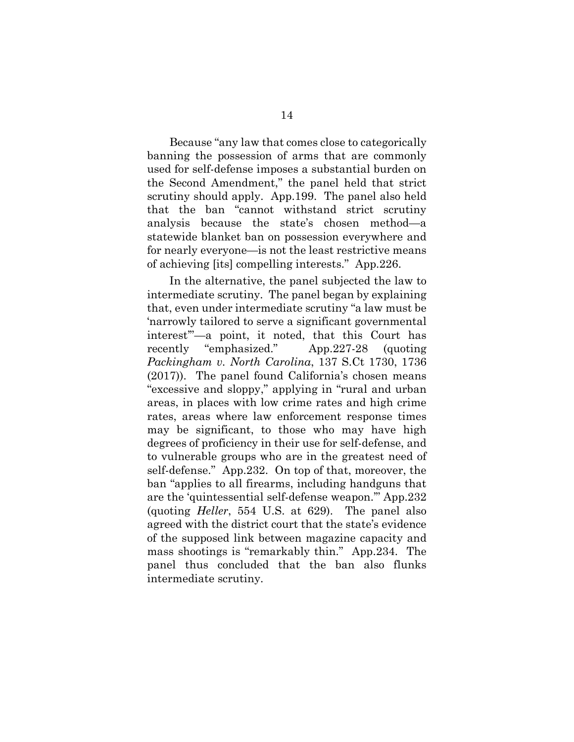Because "any law that comes close to categorically banning the possession of arms that are commonly used for self-defense imposes a substantial burden on the Second Amendment," the panel held that strict scrutiny should apply. App.199. The panel also held that the ban "cannot withstand strict scrutiny analysis because the state's chosen method—a statewide blanket ban on possession everywhere and for nearly everyone—is not the least restrictive means of achieving [its] compelling interests." App.226.

In the alternative, the panel subjected the law to intermediate scrutiny. The panel began by explaining that, even under intermediate scrutiny "a law must be 'narrowly tailored to serve a significant governmental interest'"—a point, it noted, that this Court has recently "emphasized." App.227-28 (quoting *Packingham v. North Carolina*, 137 S.Ct 1730, 1736 (2017)). The panel found California's chosen means "excessive and sloppy," applying in "rural and urban areas, in places with low crime rates and high crime rates, areas where law enforcement response times may be significant, to those who may have high degrees of proficiency in their use for self-defense, and to vulnerable groups who are in the greatest need of self-defense." App.232. On top of that, moreover, the ban "applies to all firearms, including handguns that are the 'quintessential self-defense weapon.'" App.232 (quoting *Heller*, 554 U.S. at 629). The panel also agreed with the district court that the state's evidence of the supposed link between magazine capacity and mass shootings is "remarkably thin." App.234. The panel thus concluded that the ban also flunks intermediate scrutiny.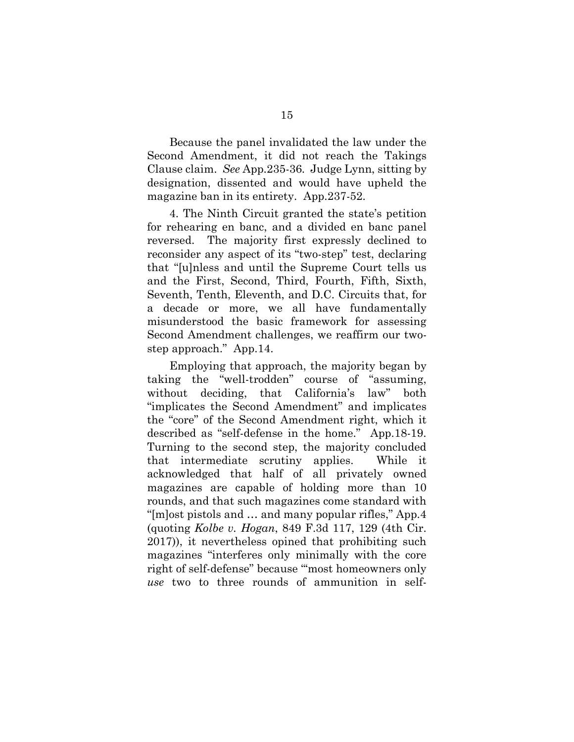Because the panel invalidated the law under the Second Amendment, it did not reach the Takings Clause claim. *See* App.235-36. Judge Lynn, sitting by designation, dissented and would have upheld the magazine ban in its entirety. App.237-52.

4. The Ninth Circuit granted the state's petition for rehearing en banc, and a divided en banc panel reversed. The majority first expressly declined to reconsider any aspect of its "two-step" test, declaring that "[u]nless and until the Supreme Court tells us and the First, Second, Third, Fourth, Fifth, Sixth, Seventh, Tenth, Eleventh, and D.C. Circuits that, for a decade or more, we all have fundamentally misunderstood the basic framework for assessing Second Amendment challenges, we reaffirm our twostep approach." App.14.

Employing that approach, the majority began by taking the "well-trodden" course of "assuming, without deciding, that California's law" both "implicates the Second Amendment" and implicates the "core" of the Second Amendment right, which it described as "self-defense in the home." App.18-19. Turning to the second step, the majority concluded that intermediate scrutiny applies. While it acknowledged that half of all privately owned magazines are capable of holding more than 10 rounds, and that such magazines come standard with "[m]ost pistols and … and many popular rifles," App.4 (quoting *Kolbe v. Hogan*, 849 F.3d 117, 129 (4th Cir. 2017)), it nevertheless opined that prohibiting such magazines "interferes only minimally with the core right of self-defense" because "'most homeowners only *use* two to three rounds of ammunition in self-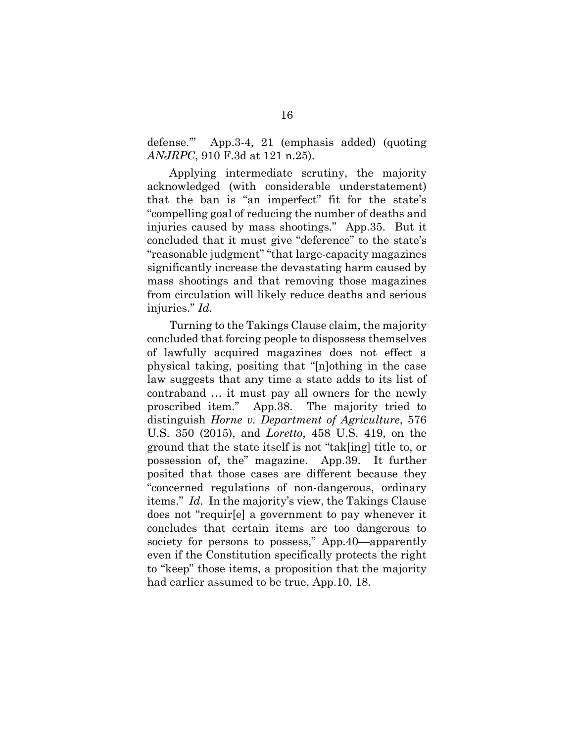defense.'" App.3-4, 21 (emphasis added) (quoting *ANJRPC*[, 910 F.3d at 121 n.25\)](https://1.next.westlaw.com/Link/Document/FullText?findType=Y&serNum=2046185174&pubNum=0000506&originatingDoc=Ic3d27420523011ec946db9923828695f&refType=RP&fi=co_pp_sp_506_121&originationContext=document&transitionType=DocumentItem&ppcid=f295902ab81945df87948d9314c25cb8&contextData=(sc.History*oc.Default)#co_pp_sp_506_121).

Applying intermediate scrutiny, the majority acknowledged (with considerable understatement) that the ban is "an imperfect" fit for the state's "compelling goal of reducing the number of deaths and injuries caused by mass shootings." App.35. But it concluded that it must give "deference" to the state's "reasonable judgment" "that large-capacity magazines significantly increase the devastating harm caused by mass shootings and that removing those magazines from circulation will likely reduce deaths and serious injuries." *Id.*

Turning to the Takings Clause claim, the majority concluded that forcing people to dispossess themselves of lawfully acquired magazines does not effect a physical taking, positing that "[n]othing in the case law suggests that any time a state adds to its list of contraband … it must pay all owners for the newly proscribed item." App.38. The majority tried to distinguish *Horne v. Department of Agriculture*, 576 U.S. 350 (2015), and *Loretto*, 458 U.S. 419, on the ground that the state itself is not "tak[ing] title to, or possession of, the" magazine. App.39. It further posited that those cases are different because they "concerned regulations of non-dangerous, ordinary items." *Id.* In the majority's view, the Takings Clause does not "requir[e] a government to pay whenever it concludes that certain items are too dangerous to society for persons to possess," App.40—apparently even if the Constitution specifically protects the right to "keep" those items, a proposition that the majority had earlier assumed to be true, App.10, 18.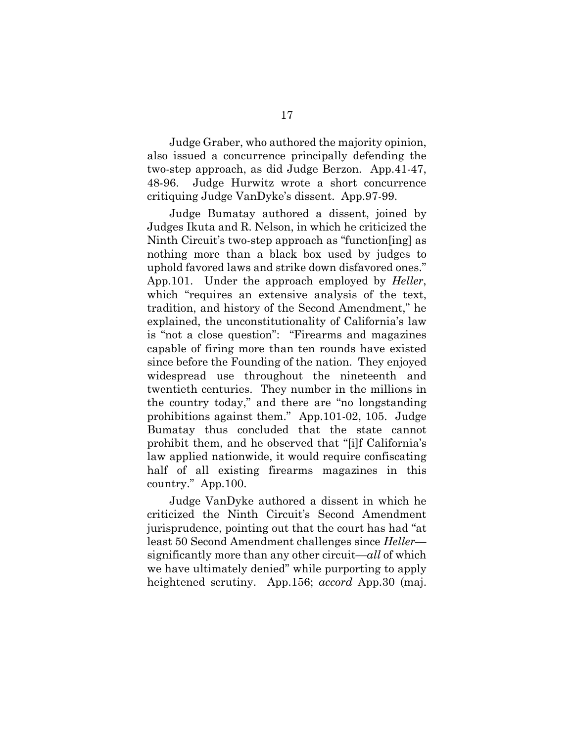Judge Graber, who authored the majority opinion, also issued a concurrence principally defending the two-step approach, as did Judge Berzon. App.41-47, 48-96. Judge Hurwitz wrote a short concurrence critiquing Judge VanDyke's dissent. App.97-99.

Judge Bumatay authored a dissent, joined by Judges Ikuta and R. Nelson, in which he criticized the Ninth Circuit's two-step approach as "function[ing] as nothing more than a black box used by judges to uphold favored laws and strike down disfavored ones." App.101. Under the approach employed by *Heller*, which "requires an extensive analysis of the text, tradition, and history of the Second Amendment," he explained, the unconstitutionality of California's law is "not a close question": "Firearms and magazines capable of firing more than ten rounds have existed since before the Founding of the nation. They enjoyed widespread use throughout the nineteenth and twentieth centuries. They number in the millions in the country today," and there are "no longstanding prohibitions against them." App.101-02, 105. Judge Bumatay thus concluded that the state cannot prohibit them, and he observed that "[i]f California's law applied nationwide, it would require confiscating half of all existing firearms magazines in this country." App.100.

Judge VanDyke authored a dissent in which he criticized the Ninth Circuit's Second Amendment jurisprudence, pointing out that the court has had "at least 50 Second Amendment challenges since *Heller* significantly more than any other circuit—*all* of which we have ultimately denied" while purporting to apply heightened scrutiny. App.156; *accord* App.30 (maj.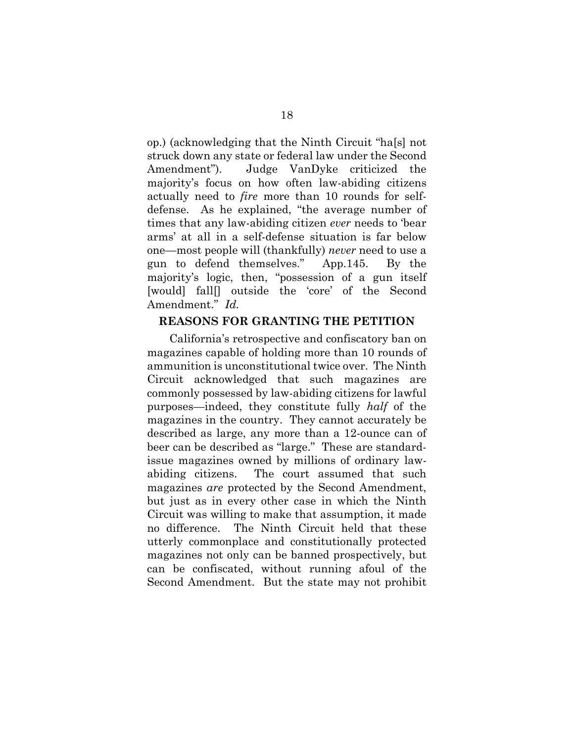op.) (acknowledging that the Ninth Circuit "ha[s] not struck down any state or federal law under the Second Amendment"). Judge VanDyke criticized the majority's focus on how often law-abiding citizens actually need to *fire* more than 10 rounds for selfdefense. As he explained, "the average number of times that any law-abiding citizen *ever* needs to 'bear arms' at all in a self-defense situation is far below one—most people will (thankfully) *never* need to use a gun to defend themselves." App.145. By the majority's logic, then, "possession of a gun itself [would] fall] outside the 'core' of the Second Amendment." *Id.*

### **REASONS FOR GRANTING THE PETITION**

California's retrospective and confiscatory ban on magazines capable of holding more than 10 rounds of ammunition is unconstitutional twice over. The Ninth Circuit acknowledged that such magazines are commonly possessed by law-abiding citizens for lawful purposes—indeed, they constitute fully *half* of the magazines in the country. They cannot accurately be described as large, any more than a 12-ounce can of beer can be described as "large." These are standardissue magazines owned by millions of ordinary lawabiding citizens. The court assumed that such magazines *are* protected by the Second Amendment, but just as in every other case in which the Ninth Circuit was willing to make that assumption, it made no difference. The Ninth Circuit held that these utterly commonplace and constitutionally protected magazines not only can be banned prospectively, but can be confiscated, without running afoul of the Second Amendment. But the state may not prohibit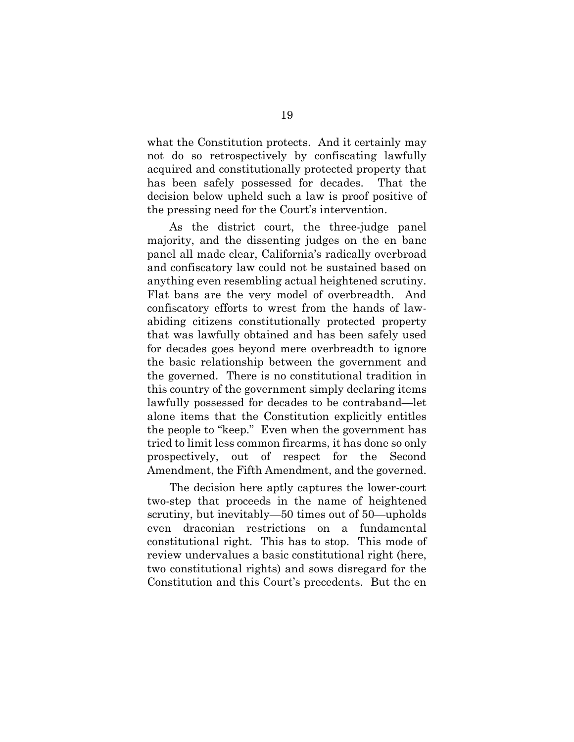what the Constitution protects. And it certainly may not do so retrospectively by confiscating lawfully acquired and constitutionally protected property that has been safely possessed for decades. That the decision below upheld such a law is proof positive of the pressing need for the Court's intervention.

As the district court, the three-judge panel majority, and the dissenting judges on the en banc panel all made clear, California's radically overbroad and confiscatory law could not be sustained based on anything even resembling actual heightened scrutiny. Flat bans are the very model of overbreadth. And confiscatory efforts to wrest from the hands of lawabiding citizens constitutionally protected property that was lawfully obtained and has been safely used for decades goes beyond mere overbreadth to ignore the basic relationship between the government and the governed. There is no constitutional tradition in this country of the government simply declaring items lawfully possessed for decades to be contraband—let alone items that the Constitution explicitly entitles the people to "keep." Even when the government has tried to limit less common firearms, it has done so only prospectively, out of respect for the Second Amendment, the Fifth Amendment, and the governed.

The decision here aptly captures the lower-court two-step that proceeds in the name of heightened scrutiny, but inevitably—50 times out of 50—upholds even draconian restrictions on a fundamental constitutional right. This has to stop. This mode of review undervalues a basic constitutional right (here, two constitutional rights) and sows disregard for the Constitution and this Court's precedents. But the en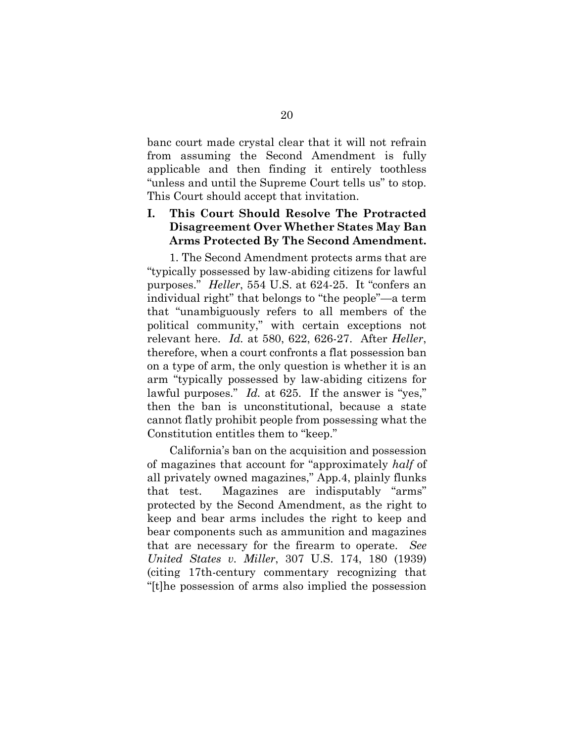banc court made crystal clear that it will not refrain from assuming the Second Amendment is fully applicable and then finding it entirely toothless "unless and until the Supreme Court tells us" to stop. This Court should accept that invitation.

### **I. This Court Should Resolve The Protracted Disagreement Over Whether States May Ban Arms Protected By The Second Amendment.**

1. The Second Amendment protects arms that are "typically possessed by law-abiding citizens for lawful purposes." *Heller*, 554 U.S. at 624-25. It "confers an individual right" that belongs to "the people"—a term that "unambiguously refers to all members of the political community," with certain exceptions not relevant here. *Id.* at 580, 622, 626-27. After *Heller*, therefore, when a court confronts a flat possession ban on a type of arm, the only question is whether it is an arm "typically possessed by law-abiding citizens for lawful purposes." *Id.* at 625. If the answer is "yes," then the ban is unconstitutional, because a state cannot flatly prohibit people from possessing what the Constitution entitles them to "keep."

California's ban on the acquisition and possession of magazines that account for "approximately *half* of all privately owned magazines," App.4, plainly flunks that test. Magazines are indisputably "arms" protected by the Second Amendment, as the right to keep and bear arms includes the right to keep and bear components such as ammunition and magazines that are necessary for the firearm to operate. *See United States v. Miller*, 307 U.S. 174, 180 (1939) (citing 17th-century commentary recognizing that "[t]he possession of arms also implied the possession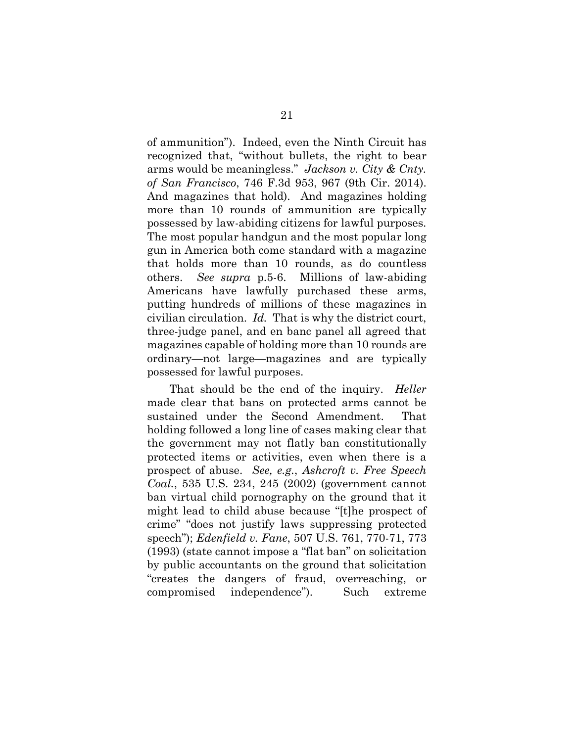of ammunition"). Indeed, even the Ninth Circuit has recognized that, "without bullets, the right to bear arms would be meaningless." *Jackson v. City & Cnty. of San Francisco*, 746 F.3d 953, 967 (9th Cir. 2014). And magazines that hold). And magazines holding more than 10 rounds of ammunition are typically possessed by law-abiding citizens for lawful purposes. The most popular handgun and the most popular long gun in America both come standard with a magazine that holds more than 10 rounds, as do countless others. *See supra* p.5-6. Millions of law-abiding Americans have lawfully purchased these arms, putting hundreds of millions of these magazines in civilian circulation. *Id.* That is why the district court, three-judge panel, and en banc panel all agreed that magazines capable of holding more than 10 rounds are ordinary—not large—magazines and are typically possessed for lawful purposes.

That should be the end of the inquiry. *Heller*  made clear that bans on protected arms cannot be sustained under the Second Amendment. That holding followed a long line of cases making clear that the government may not flatly ban constitutionally protected items or activities, even when there is a prospect of abuse. *See, e.g.*, *Ashcroft v. Free Speech Coal.*, 535 U.S. 234, 245 (2002) (government cannot ban virtual child pornography on the ground that it might lead to child abuse because "[t]he prospect of crime" "does not justify laws suppressing protected speech"); *Edenfield v. Fane*, 507 U.S. 761, 770-71, 773 (1993) (state cannot impose a "flat ban" on solicitation by public accountants on the ground that solicitation "creates the dangers of fraud, overreaching, or compromised independence"). Such extreme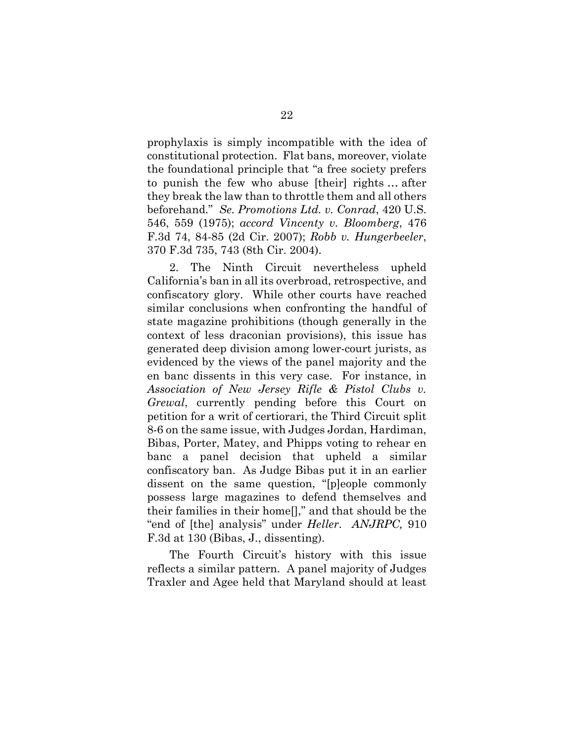prophylaxis is simply incompatible with the idea of constitutional protection. Flat bans, moreover, violate the foundational principle that "a free society prefers to punish the few who abuse [their] rights … after they break the law than to throttle them and all others beforehand." *Se. Promotions Ltd. v. Conrad*, 420 U.S. 546, 559 (1975); *accord Vincenty v. Bloomberg*, 476 F.3d 74, 84-85 (2d Cir. 2007); *Robb v. Hungerbeeler*, 370 F.3d 735, 743 (8th Cir. 2004).

2. The Ninth Circuit nevertheless upheld California's ban in all its overbroad, retrospective, and confiscatory glory. While other courts have reached similar conclusions when confronting the handful of state magazine prohibitions (though generally in the context of less draconian provisions), this issue has generated deep division among lower-court jurists, as evidenced by the views of the panel majority and the en banc dissents in this very case. For instance, in *Association of New Jersey Rifle & Pistol Clubs v. Grewal*, currently pending before this Court on petition for a writ of certiorari, the Third Circuit split 8-6 on the same issue, with Judges Jordan, Hardiman, Bibas, Porter, Matey, and Phipps voting to rehear en banc a panel decision that upheld a similar confiscatory ban. As Judge Bibas put it in an earlier dissent on the same question, "[p]eople commonly possess large magazines to defend themselves and their families in their home[]," and that should be the "end of [the] analysis" under *Heller*. *ANJRPC,* 910 F.3d at 130 (Bibas, J., dissenting).

The Fourth Circuit's history with this issue reflects a similar pattern. A panel majority of Judges Traxler and Agee held that Maryland should at least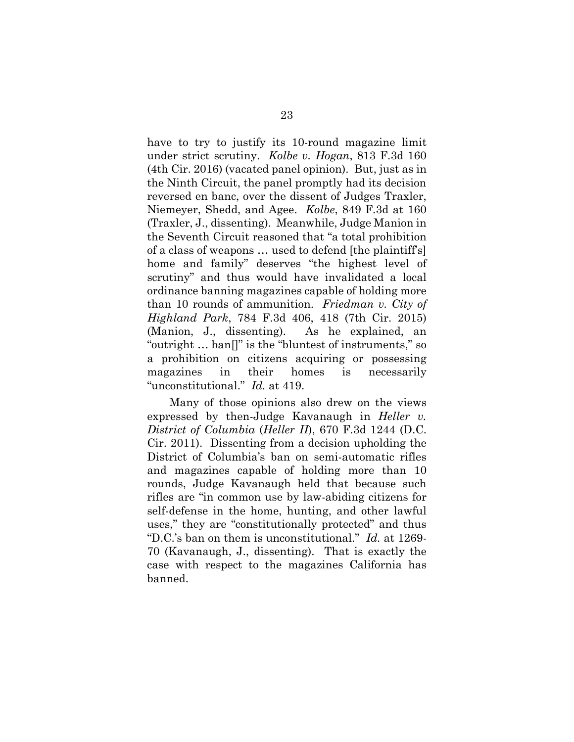have to try to justify its 10-round magazine limit under strict scrutiny. *Kolbe v. Hogan*, 813 F.3d 160 (4th Cir. 2016) (vacated panel opinion). But, just as in the Ninth Circuit, the panel promptly had its decision reversed en banc, over the dissent of Judges Traxler, Niemeyer, Shedd, and Agee. *Kolbe*, 849 F.3d at 160 (Traxler, J., dissenting). Meanwhile, Judge Manion in the Seventh Circuit reasoned that "a total prohibition of a class of weapons … used to defend [the plaintiff's] home and family" deserves "the highest level of scrutiny" and thus would have invalidated a local ordinance banning magazines capable of holding more than 10 rounds of ammunition. *Friedman v. City of Highland Park*, 784 F.3d 406, 418 (7th Cir. 2015) (Manion, J., dissenting). As he explained, an "outright … ban[]" is the "bluntest of instruments," so a prohibition on citizens acquiring or possessing magazines in their homes is necessarily "unconstitutional." *Id.* at 419.

Many of those opinions also drew on the views expressed by then-Judge Kavanaugh in *Heller v. District of Columbia* (*Heller II*), 670 F.3d 1244 (D.C. Cir. 2011). Dissenting from a decision upholding the District of Columbia's ban on semi-automatic rifles and magazines capable of holding more than 10 rounds, Judge Kavanaugh held that because such rifles are "in common use by law-abiding citizens for self-defense in the home, hunting, and other lawful uses," they are "constitutionally protected" and thus "D.C.'s ban on them is unconstitutional." *Id.* at 1269- 70 (Kavanaugh, J., dissenting). That is exactly the case with respect to the magazines California has banned.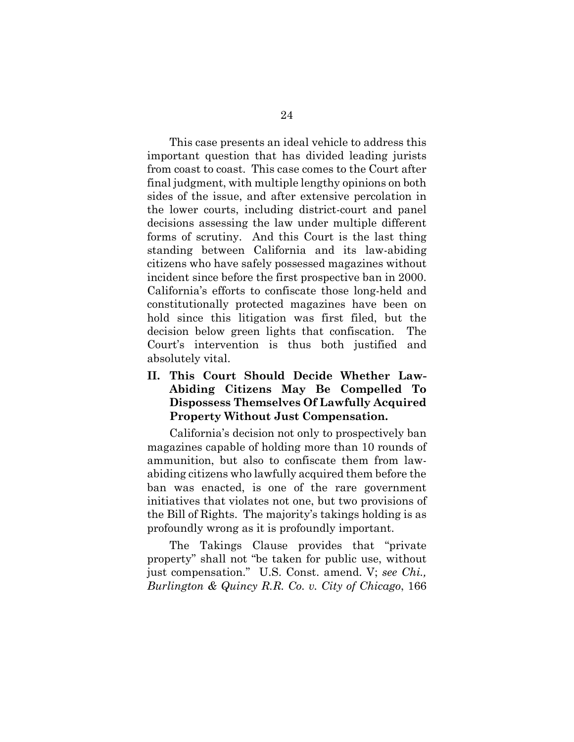This case presents an ideal vehicle to address this important question that has divided leading jurists from coast to coast. This case comes to the Court after final judgment, with multiple lengthy opinions on both sides of the issue, and after extensive percolation in the lower courts, including district-court and panel decisions assessing the law under multiple different forms of scrutiny. And this Court is the last thing standing between California and its law-abiding citizens who have safely possessed magazines without incident since before the first prospective ban in 2000. California's efforts to confiscate those long-held and constitutionally protected magazines have been on hold since this litigation was first filed, but the decision below green lights that confiscation. The Court's intervention is thus both justified and absolutely vital.

**II. This Court Should Decide Whether Law-Abiding Citizens May Be Compelled To Dispossess Themselves Of Lawfully Acquired Property Without Just Compensation.**

California's decision not only to prospectively ban magazines capable of holding more than 10 rounds of ammunition, but also to confiscate them from lawabiding citizens who lawfully acquired them before the ban was enacted, is one of the rare government initiatives that violates not one, but two provisions of the Bill of Rights. The majority's takings holding is as profoundly wrong as it is profoundly important.

The Takings Clause provides that "private property" shall not "be taken for public use, without just compensation." U.S. Const. amend. V; *see Chi., Burlington & Quincy R.R. Co. v. City of Chicago*, 166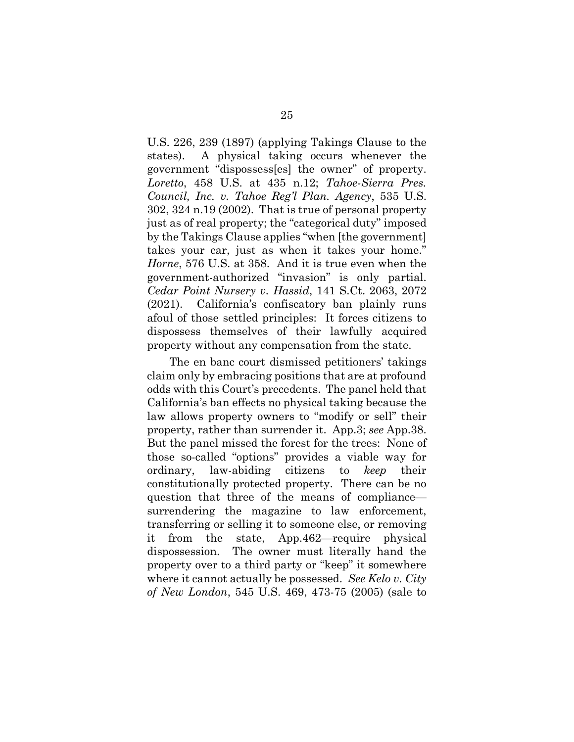U.S. 226, 239 (1897) (applying Takings Clause to the states). A physical taking occurs whenever the government "dispossess[es] the owner" of property. *Loretto*, 458 U.S. at 435 n.12; *Tahoe-Sierra Pres. Council, Inc. v. Tahoe Reg'l Plan. Agency*, 535 U.S. 302, 324 n.19 (2002). That is true of personal property just as of real property; the "categorical duty" imposed by the Takings Clause applies "when [the government] takes your car, just as when it takes your home." *Horne*, 576 U.S. at 358. And it is true even when the government-authorized "invasion" is only partial. *Cedar Point Nursery v. Hassid*, 141 S.Ct. 2063, 2072 (2021). California's confiscatory ban plainly runs afoul of those settled principles: It forces citizens to dispossess themselves of their lawfully acquired property without any compensation from the state.

The en banc court dismissed petitioners' takings claim only by embracing positions that are at profound odds with this Court's precedents. The panel held that California's ban effects no physical taking because the law allows property owners to "modify or sell" their property, rather than surrender it. App.3; *see* App.38. But the panel missed the forest for the trees: None of those so-called "options" provides a viable way for ordinary, law-abiding citizens to *keep* their constitutionally protected property. There can be no question that three of the means of compliance surrendering the magazine to law enforcement, transferring or selling it to someone else, or removing it from the state, App.462—require physical dispossession. The owner must literally hand the property over to a third party or "keep" it somewhere where it cannot actually be possessed. *See Kelo v. City of New London*, 545 U.S. 469, 473-75 (2005) (sale to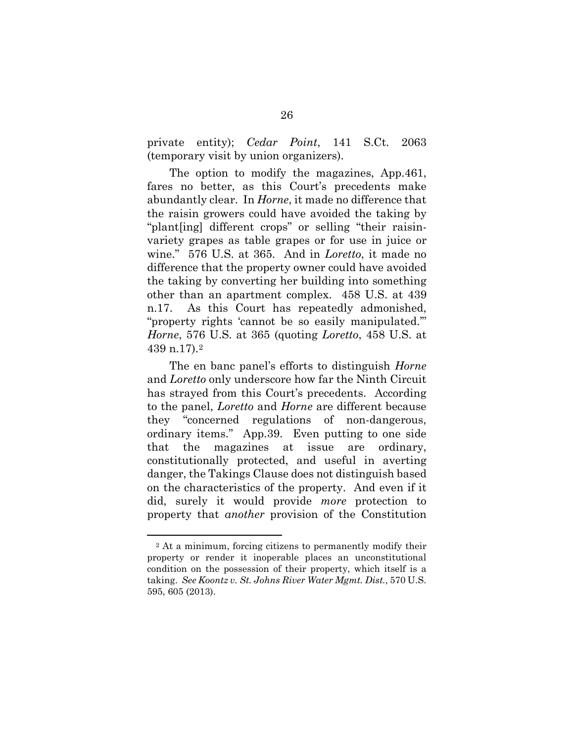private entity); *Cedar Point*, 141 S.Ct. 2063 (temporary visit by union organizers).

The option to modify the magazines, App.461, fares no better, as this Court's precedents make abundantly clear. In *Horne*, it made no difference that the raisin growers could have avoided the taking by "plant[ing] different crops" or selling "their raisinvariety grapes as table grapes or for use in juice or wine." 576 U.S. at 365. And in *Loretto*, it made no difference that the property owner could have avoided the taking by converting her building into something other than an apartment complex. 458 U.S. at 439 n.17. As this Court has repeatedly admonished, "property rights 'cannot be so easily manipulated.'" *Horne*, 576 U.S. at 365 (quoting *Loretto*, 458 U.S. at 439 n.17).[2](#page-38-0)

The en banc panel's efforts to distinguish *Horne*  and *Loretto* only underscore how far the Ninth Circuit has strayed from this Court's precedents. According to the panel, *Loretto* and *Horne* are different because they "concerned regulations of non-dangerous, ordinary items." App.39. Even putting to one side that the magazines at issue are ordinary, constitutionally protected, and useful in averting danger, the Takings Clause does not distinguish based on the characteristics of the property. And even if it did, surely it would provide *more* protection to property that *another* provision of the Constitution

<u>.</u>

<span id="page-38-0"></span><sup>2</sup> At a minimum, forcing citizens to permanently modify their property or render it inoperable places an unconstitutional condition on the possession of their property, which itself is a taking. *See Koontz v. St. Johns River Water Mgmt. Dist.*, 570 U.S. 595, 605 (2013).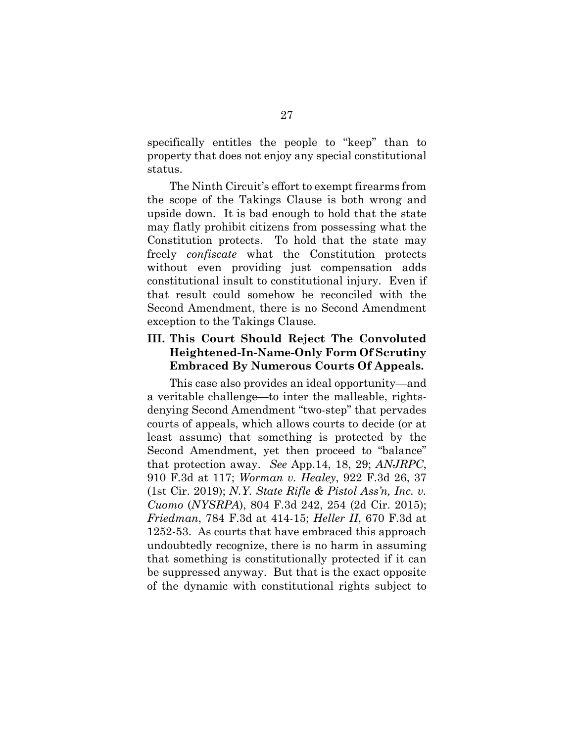specifically entitles the people to "keep" than to property that does not enjoy any special constitutional status.

The Ninth Circuit's effort to exempt firearms from the scope of the Takings Clause is both wrong and upside down. It is bad enough to hold that the state may flatly prohibit citizens from possessing what the Constitution protects. To hold that the state may freely *confiscate* what the Constitution protects without even providing just compensation adds constitutional insult to constitutional injury. Even if that result could somehow be reconciled with the Second Amendment, there is no Second Amendment exception to the Takings Clause.

### **III. This Court Should Reject The Convoluted Heightened-In-Name-Only Form Of Scrutiny Embraced By Numerous Courts Of Appeals.**

This case also provides an ideal opportunity—and a veritable challenge—to inter the malleable, rightsdenying Second Amendment "two-step" that pervades courts of appeals, which allows courts to decide (or at least assume) that something is protected by the Second Amendment, yet then proceed to "balance" that protection away. *See* App.14, 18, 29; *ANJRPC*, 910 F.3d at 117; *Worman v. Healey*, 922 F.3d 26, 37 (1st Cir. 2019); *N.Y. State Rifle & Pistol Ass'n, Inc. v. Cuomo* (*NYSRPA*), 804 F.3d 242, 254 (2d Cir. 2015); *Friedman*, 784 F.3d at 414-15; *Heller II*, 670 F.3d at 1252-53. As courts that have embraced this approach undoubtedly recognize, there is no harm in assuming that something is constitutionally protected if it can be suppressed anyway. But that is the exact opposite of the dynamic with constitutional rights subject to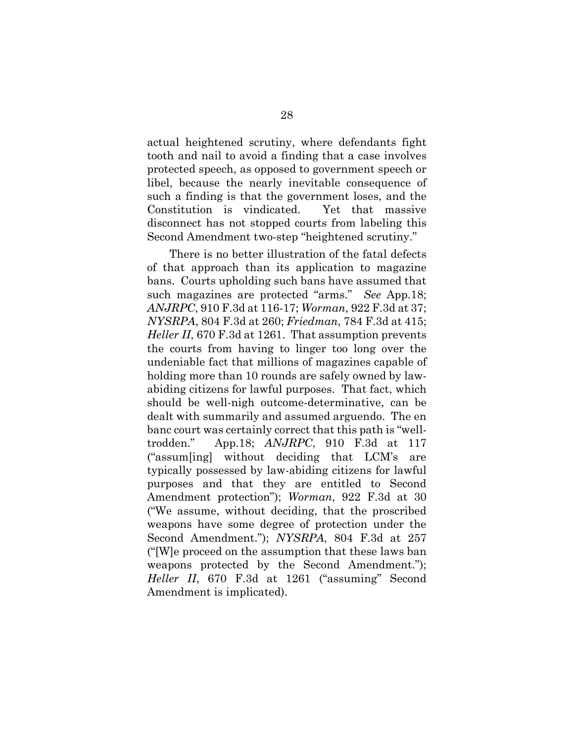actual heightened scrutiny, where defendants fight tooth and nail to avoid a finding that a case involves protected speech, as opposed to government speech or libel, because the nearly inevitable consequence of such a finding is that the government loses, and the Constitution is vindicated. Yet that massive disconnect has not stopped courts from labeling this Second Amendment two-step "heightened scrutiny."

There is no better illustration of the fatal defects of that approach than its application to magazine bans. Courts upholding such bans have assumed that such magazines are protected "arms." *See* App.18; *ANJRPC*, 910 F.3d at 116-17; *Worman*, 922 F.3d at 37; *NYSRPA*, 804 F.3d at 260; *Friedman*, 784 F.3d at 415; *Heller II*, 670 F.3d at 1261. That assumption prevents the courts from having to linger too long over the undeniable fact that millions of magazines capable of holding more than 10 rounds are safely owned by lawabiding citizens for lawful purposes. That fact, which should be well-nigh outcome-determinative, can be dealt with summarily and assumed arguendo. The en banc court was certainly correct that this path is "welltrodden." App.18; *ANJRPC*, 910 F.3d at 117 ("assum[ing] without deciding that LCM's are typically possessed by law-abiding citizens for lawful purposes and that they are entitled to Second Amendment protection"); *Worman*, 922 F.3d at 30 ("We assume, without deciding, that the proscribed weapons have some degree of protection under the Second Amendment."); *NYSRPA*, 804 F.3d at 257 ("[W]e proceed on the assumption that these laws ban weapons protected by the Second Amendment."); *Heller II*, 670 F.3d at 1261 ("assuming" Second Amendment is implicated).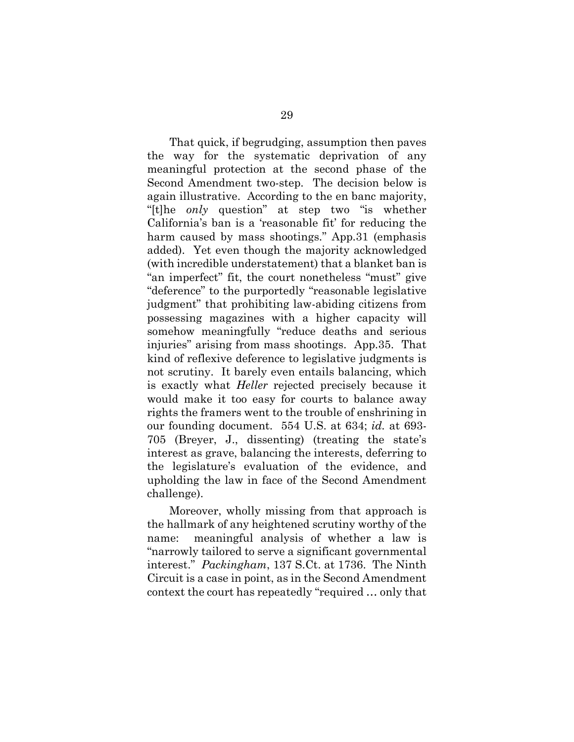That quick, if begrudging, assumption then paves the way for the systematic deprivation of any meaningful protection at the second phase of the Second Amendment two-step. The decision below is again illustrative. According to the en banc majority, "[t]he *only* question" at step two "is whether California's ban is a 'reasonable fit' for reducing the harm caused by mass shootings." App.31 (emphasis added). Yet even though the majority acknowledged (with incredible understatement) that a blanket ban is "an imperfect" fit, the court nonetheless "must" give "deference" to the purportedly "reasonable legislative judgment" that prohibiting law-abiding citizens from possessing magazines with a higher capacity will somehow meaningfully "reduce deaths and serious injuries" arising from mass shootings. App.35. That kind of reflexive deference to legislative judgments is not scrutiny. It barely even entails balancing, which is exactly what *Heller* rejected precisely because it would make it too easy for courts to balance away rights the framers went to the trouble of enshrining in our founding document. 554 U.S. at 634; *id.* at 693- 705 (Breyer, J., dissenting) (treating the state's interest as grave, balancing the interests, deferring to the legislature's evaluation of the evidence, and upholding the law in face of the Second Amendment challenge).

Moreover, wholly missing from that approach is the hallmark of any heightened scrutiny worthy of the name: meaningful analysis of whether a law is "narrowly tailored to serve a significant governmental interest." *Packingham*, 137 S.Ct. at 1736. The Ninth Circuit is a case in point, as in the Second Amendment context the court has repeatedly "required … only that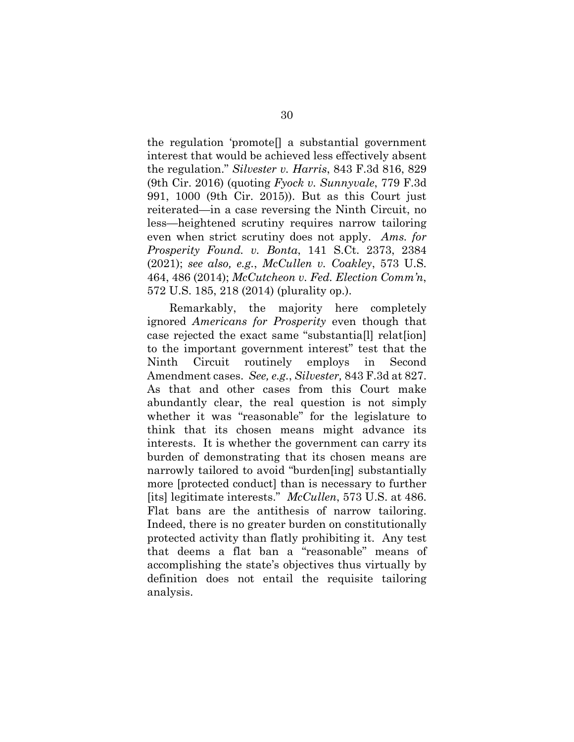the regulation 'promote[] a substantial government interest that would be achieved less effectively absent the regulation." *Silvester v. Harris*, 843 F.3d 816, 829 (9th Cir. 2016) (quoting *Fyock v. Sunnyvale*, 779 F.3d 991, 1000 (9th Cir. 2015)). But as this Court just reiterated—in a case reversing the Ninth Circuit, no less—heightened scrutiny requires narrow tailoring even when strict scrutiny does not apply. *Ams. for Prosperity Found. v. Bonta*, 141 S.Ct. 2373, 2384 (2021); *see also, e.g.*, *McCullen v. Coakley*, 573 U.S. 464, 486 (2014); *McCutcheon v. Fed. Election Comm'n*, 572 U.S. 185, 218 (2014) (plurality op.).

Remarkably, the majority here completely ignored *Americans for Prosperity* even though that case rejected the exact same "substantia[l] relat[ion] to the important government interest" test that the Ninth Circuit routinely employs in Second Amendment cases. *See, e.g.*, *Silvester,* 843 F.3d at 827. As that and other cases from this Court make abundantly clear, the real question is not simply whether it was "reasonable" for the legislature to think that its chosen means might advance its interests. It is whether the government can carry its burden of demonstrating that its chosen means are narrowly tailored to avoid "burden[ing] substantially more [protected conduct] than is necessary to further [its] legitimate interests." *McCullen*, 573 U.S. at 486. Flat bans are the antithesis of narrow tailoring. Indeed, there is no greater burden on constitutionally protected activity than flatly prohibiting it. Any test that deems a flat ban a "reasonable" means of accomplishing the state's objectives thus virtually by definition does not entail the requisite tailoring analysis.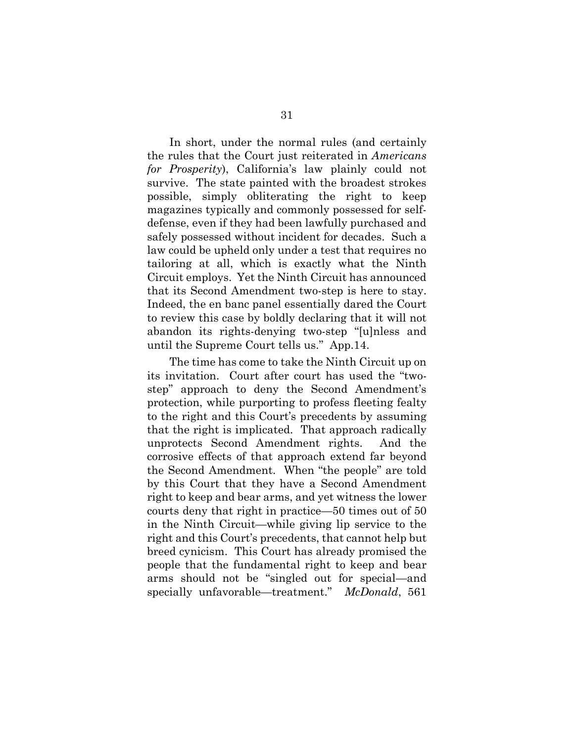In short, under the normal rules (and certainly the rules that the Court just reiterated in *Americans for Prosperity*), California's law plainly could not survive. The state painted with the broadest strokes possible, simply obliterating the right to keep magazines typically and commonly possessed for selfdefense, even if they had been lawfully purchased and safely possessed without incident for decades. Such a law could be upheld only under a test that requires no tailoring at all, which is exactly what the Ninth Circuit employs. Yet the Ninth Circuit has announced that its Second Amendment two-step is here to stay. Indeed, the en banc panel essentially dared the Court to review this case by boldly declaring that it will not abandon its rights-denying two-step "[u]nless and until the Supreme Court tells us." App.14.

The time has come to take the Ninth Circuit up on its invitation. Court after court has used the "twostep" approach to deny the Second Amendment's protection, while purporting to profess fleeting fealty to the right and this Court's precedents by assuming that the right is implicated. That approach radically unprotects Second Amendment rights. And the corrosive effects of that approach extend far beyond the Second Amendment. When "the people" are told by this Court that they have a Second Amendment right to keep and bear arms, and yet witness the lower courts deny that right in practice—50 times out of 50 in the Ninth Circuit—while giving lip service to the right and this Court's precedents, that cannot help but breed cynicism. This Court has already promised the people that the fundamental right to keep and bear arms should not be "singled out for special—and specially unfavorable—treatment." *McDonald*, 561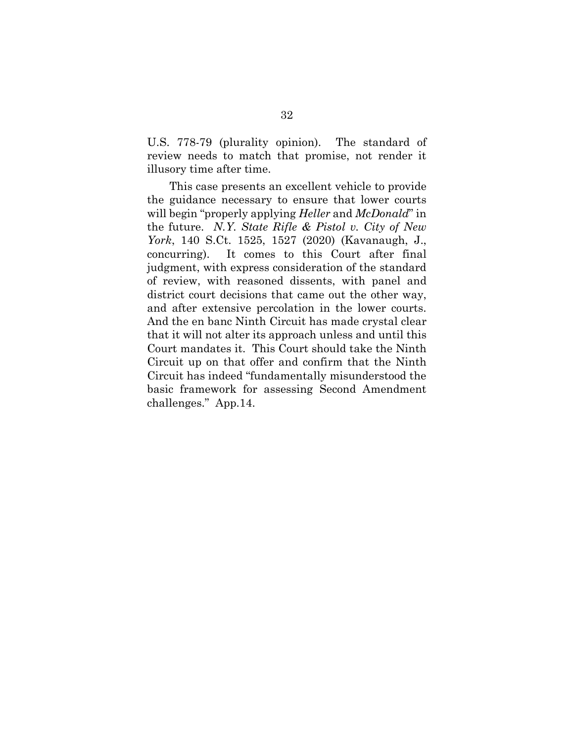U.S. 778-79 (plurality opinion). The standard of review needs to match that promise, not render it illusory time after time.

This case presents an excellent vehicle to provide the guidance necessary to ensure that lower courts will begin "properly applying *Heller* and *McDonald*" in the future. *N.Y. State Rifle & Pistol v. City of New York*, 140 S.Ct. 1525, 1527 (2020) (Kavanaugh, J., concurring). It comes to this Court after final judgment, with express consideration of the standard of review, with reasoned dissents, with panel and district court decisions that came out the other way, and after extensive percolation in the lower courts. And the en banc Ninth Circuit has made crystal clear that it will not alter its approach unless and until this Court mandates it. This Court should take the Ninth Circuit up on that offer and confirm that the Ninth Circuit has indeed "fundamentally misunderstood the basic framework for assessing Second Amendment challenges." App.14.